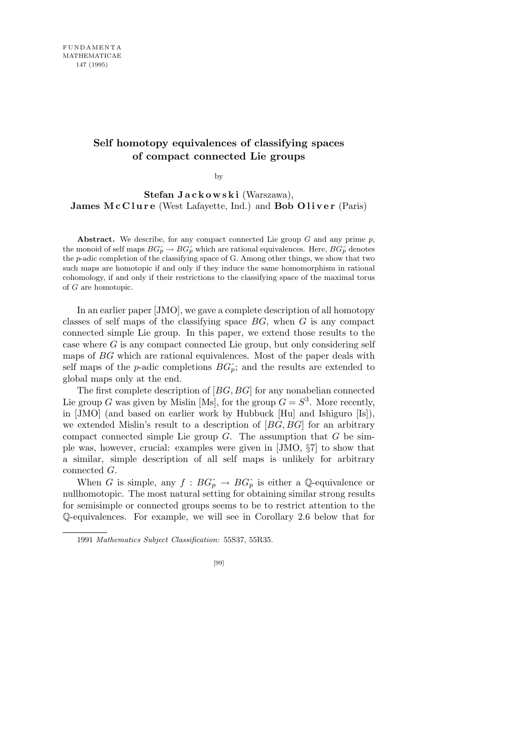## Self homotopy equivalences of classifying spaces of compact connected Lie groups

by

Stefan Jackowski (Warszawa), James McClure (West Lafayette, Ind.) and Bob Oliver (Paris)

Abstract. We describe, for any compact connected Lie group  $G$  and any prime  $p$ , the monoid of self maps  $BG_p^{\frown} \to BG_p^{\frown}$  which are rational equivalences. Here,  $BG_p^{\frown}$  denotes the p-adic completion of the classifying space of G. Among other things, we show that two such maps are homotopic if and only if they induce the same homomorphism in rational cohomology, if and only if their restrictions to the classifying space of the maximal torus of G are homotopic.

In an earlier paper [JMO], we gave a complete description of all homotopy classes of self maps of the classifying space  $BG$ , when  $G$  is any compact connected simple Lie group. In this paper, we extend those results to the case where  $G$  is any compact connected Lie group, but only considering self maps of BG which are rational equivalences. Most of the paper deals with self maps of the *p*-adic completions  $BG_{p}^{\hat{}}$ ; and the results are extended to global maps only at the end.

The first complete description of [BG, BG] for any nonabelian connected Lie group G was given by Mislin [Ms], for the group  $G = S^3$ . More recently, in [JMO] (and based on earlier work by Hubbuck [Hu] and Ishiguro [Is]), we extended Mislin's result to a description of  $[BG, BG]$  for an arbitrary compact connected simple Lie group  $G$ . The assumption that  $G$  be simple was, however, crucial: examples were given in [JMO, §7] to show that a similar, simple description of all self maps is unlikely for arbitrary connected G.

When G is simple, any  $f : BG_p^{\wedge} \to BG_p^{\wedge}$  is either a Q-equivalence or nullhomotopic. The most natural setting for obtaining similar strong results for semisimple or connected groups seems to be to restrict attention to the Q-equivalences. For example, we will see in Corollary 2.6 below that for

<sup>1991</sup> Mathematics Subject Classification: 55S37, 55R35.

<sup>[99]</sup>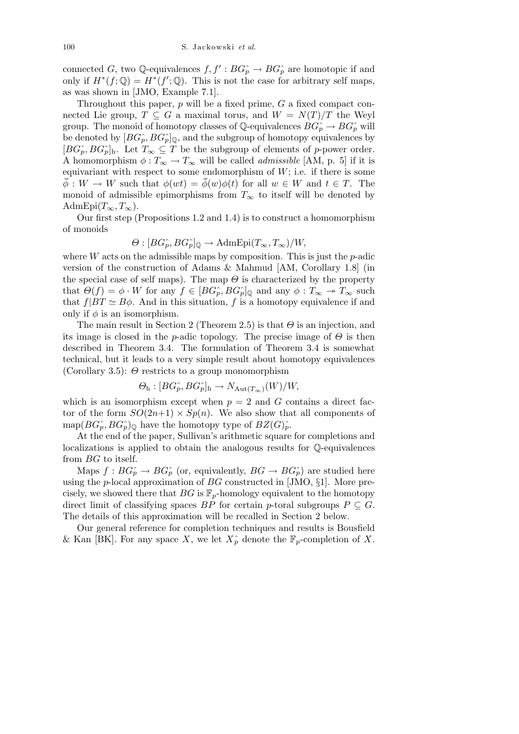connected G, two Q-equivalences  $f, f': BG<sub>p</sub> \to BG<sub>p</sub>$  are homotopic if and only if  $H^*(f; \mathbb{Q}) = H^*(f'; \mathbb{Q})$ . This is not the case for arbitrary self maps, as was shown in [JMO, Example 7.1].

Throughout this paper,  $p$  will be a fixed prime,  $G$  a fixed compact connected Lie group,  $T \subseteq G$  a maximal torus, and  $W = N(T)/T$  the Weyl group. The monoid of homotopy classes of Q-equivalences  $BG_p \to BG_p^{\sim}$  will be denoted by  $[BG_p^{\hat{}} , BG_p^{\hat{}}]_0$ , and the subgroup of homotopy equivalences by  $[BG_{p}^{\wedge}, BG_{p}]_{h}$ . Let  $T_{\infty} \subseteq T$  be the subgroup of elements of p-power order. A homomorphism  $\phi: T_\infty \to T_\infty$  will be called *admissible* [AM, p. 5] if it is equivariant with respect to some endomorphism of  $W$ ; i.e. if there is some  $\overline{\phi}: W \to W$  such that  $\phi(wt) = \overline{\phi}(w)\phi(t)$  for all  $w \in W$  and  $t \in T$ . The monoid of admissible epimorphisms from  $T_{\infty}$  to itself will be denoted by AdmEpi $(T_\infty, T_\infty)$ .

Our first step (Propositions 1.2 and 1.4) is to construct a homomorphism of monoids

$$
\Theta : [BG_P^{\wedge}, BG_P^{\wedge}]_{\mathbb{Q}} \to \text{AdmEpi}(T_{\infty}, T_{\infty})/W,
$$

where  $W$  acts on the admissible maps by composition. This is just the  $p$ -adic version of the construction of Adams & Mahmud [AM, Corollary 1.8] (in the special case of self maps). The map  $\Theta$  is characterized by the property that  $\Theta(f) = \phi \cdot W$  for any  $f \in [BG_p^{\hat{}} , BG_p^{\hat{}}]_0$  and any  $\phi : T_\infty \to T_\infty$  such that  $f|BT \simeq B\phi$ . And in this situation, f is a homotopy equivalence if and only if  $\phi$  is an isomorphism.

The main result in Section 2 (Theorem 2.5) is that  $\Theta$  is an injection, and its image is closed in the p-adic topology. The precise image of  $\Theta$  is then described in Theorem 3.4. The formulation of Theorem 3.4 is somewhat technical, but it leads to a very simple result about homotopy equivalences (Corollary 3.5):  $\Theta$  restricts to a group monomorphism

$$
\Theta_{\rm h}: [BG_p^{\hat{}}\, G_p^{\hat{}}]_{\rm h} \to N_{\text{Aut}(T_{\infty})}(W)/W,
$$

which is an isomorphism except when  $p = 2$  and G contains a direct factor of the form  $SO(2n+1) \times Sp(n)$ . We also show that all components of  $map(BG_{p}^{\wedge}, BG_{p}^{\wedge})_{\mathbb{Q}}$  have the homotopy type of  $BZ(G)_{p}^{\wedge}$ .

At the end of the paper, Sullivan's arithmetic square for completions and localizations is applied to obtain the analogous results for Q-equivalences from BG to itself.

Maps  $f : BG<sub>p</sub> \to BG<sub>p</sub>$  (or, equivalently,  $BG \to BG<sub>p</sub>$ ) are studied here using the p-local approximation of  $BG$  constructed in [JMO,  $\S1$ ]. More precisely, we showed there that  $BG$  is  $\mathbb{F}_p$ -homology equivalent to the homotopy direct limit of classifying spaces BP for certain p-toral subgroups  $P \subseteq G$ . The details of this approximation will be recalled in Section 2 below.

Our general reference for completion techniques and results is Bousfield & Kan [BK]. For any space X, we let  $X_p^{\wedge}$  denote the  $\mathbb{F}_p$ -completion of X.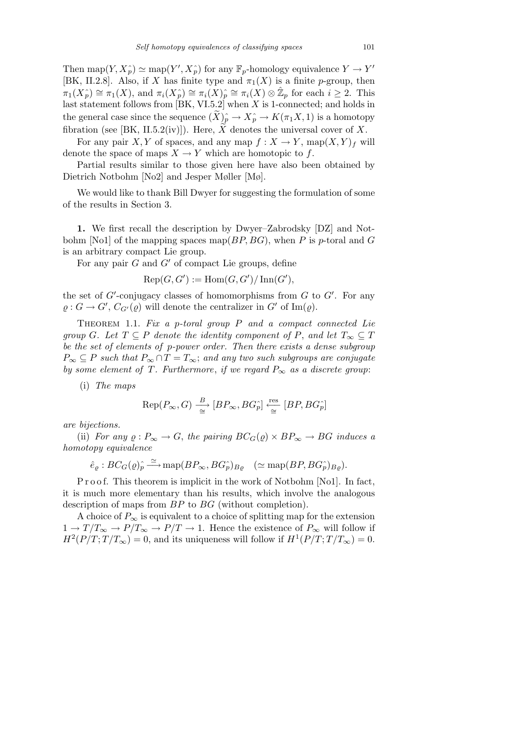Then map $(Y, X_p^{\wedge}) \simeq \text{map}(Y', X_p^{\wedge})$  for any  $\mathbb{F}_p$ -homology equivalence  $Y \to Y'$ [BK, II.2.8]. Also, if X has finite type and  $\pi_1(X)$  is a finite p-group, then  $\pi_1(X_p^{\wedge}) \cong \pi_1(X)$ , and  $\pi_i(X_p^{\wedge}) \cong \pi_i(X_p^{\wedge}) \cong \pi_i(X) \otimes \hat{\mathbb{Z}}_p$  for each  $i \geq 2$ . This last statement follows from [BK, VI.5.2] when X is 1-connected; and holds in the general case since the sequence  $(\widetilde{X})_p^{\wedge} \to X_p^{\wedge} \to K(\pi_1 X, 1)$  is a homotopy fibration (see [BK, II.5.2(iv)]). Here,  $\tilde{X}$  denotes the universal cover of X.

For any pair X, Y of spaces, and any map  $f: X \to Y$ , map $(X, Y)_f$  will denote the space of maps  $X \to Y$  which are homotopic to f.

Partial results similar to those given here have also been obtained by Dietrich Notbohm [No2] and Jesper Møller [Mø].

We would like to thank Bill Dwyer for suggesting the formulation of some of the results in Section 3.

1. We first recall the description by Dwyer–Zabrodsky [DZ] and Notbohm [No1] of the mapping spaces map( $BP, BG$ ), when P is p-toral and G is an arbitrary compact Lie group.

For any pair  $G$  and  $G'$  of compact Lie groups, define

$$
Rep(G, G') := Hom(G, G') / Inn(G'),
$$

the set of  $G'$ -conjugacy classes of homomorphisms from  $G$  to  $G'$ . For any  $\varrho: G \to G', C_{G'}(\varrho)$  will denote the centralizer in  $G'$  of  $\text{Im}(\varrho)$ .

THEOREM 1.1. Fix a p-toral group  $P$  and a compact connected Lie group G. Let  $T \subseteq P$  denote the identity component of P, and let  $T_{\infty} \subseteq T$ be the set of elements of p-power order. Then there exists a dense subgroup  $P_{\infty} \subseteq P$  such that  $P_{\infty} \cap T = T_{\infty}$ ; and any two such subgroups are conjugate by some element of T. Furthermore, if we regard  $P_{\infty}$  as a discrete group:

(i) The maps

$$
\text{Rep}(P_{\infty}, G) \xrightarrow{\quad B \quad} [BP_{\infty}, BG_p] \xleftarrow{\text{res}} [BP, BG_p]
$$

are bijections.

(ii) For any  $\rho: P_{\infty} \to G$ , the pairing  $BC_G(\rho) \times BP_{\infty} \to BG$  induces a homotopy equivalence

$$
\hat{e}_{\varrho}: BC_G(\varrho)_{\widetilde{p}} \stackrel{\simeq}{\longrightarrow} \text{map}(BP_{\infty}, BG_{p}^{\wedge})_{B_{\varrho}} \quad (\simeq \text{map}(BP, BG_{p}^{\wedge})_{B_{\varrho}}).
$$

P r o o f. This theorem is implicit in the work of Notbohm [No1]. In fact, it is much more elementary than his results, which involve the analogous description of maps from BP to BG (without completion).

A choice of  $P_{\infty}$  is equivalent to a choice of splitting map for the extension  $1 \to T/T_{\infty} \to P/T_{\infty} \to P/T \to 1$ . Hence the existence of  $P_{\infty}$  will follow if  $H^2(P/T;T/T_\infty) = 0$ , and its uniqueness will follow if  $H^1(P/T;T/T_\infty) = 0$ .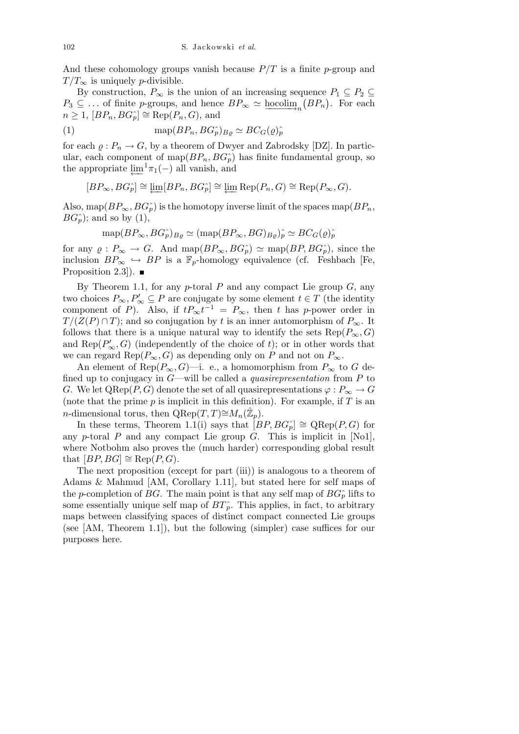And these cohomology groups vanish because  $P/T$  is a finite p-group and  $T/T_{\infty}$  is uniquely *p*-divisible.

By construction,  $P_{\infty}$  is the union of an increasing sequence  $P_1 \subseteq P_2 \subseteq$  $P_3 \subseteq \ldots$  of finite p-groups, and hence  $BP_\infty \simeq \underline{\text{hocolim}}_n(BP_n)$ . For each  $n \geq 1$ ,  $[BP_n, BG_p^{\frown}] \cong \text{Rep}(P_n, G)$ , and

(1) 
$$
\text{map}(BP_n, BG_p^{\hat{}})_{B\varrho} \simeq BC_G(\varrho)_p^{\hat{}}
$$

for each  $\varrho: P_n \to G$ , by a theorem of Dwyer and Zabrodsky [DZ]. In particular, each component of map $(BP_n, BG^{\wedge}_p)$  has finite fundamental group, so the appropriate  $\varprojlim^{1} \pi_1(-)$  all vanish, and

$$
[BP_{\infty}, BG_P^{\wedge}] \cong \varprojlim [BP_n, BG_P^{\wedge}] \cong \varprojlim \text{Rep}(P_n, G) \cong \text{Rep}(P_{\infty}, G).
$$

Also, map( $BP_{\infty}, BG_{n}^{\hat{ }}$ ) is the homotopy inverse limit of the spaces map( $BP_{n}$ ,  $BG_{p}^{\hat{}}$ ; and so by (1),

$$
\text{map}(BP_{\infty}, BG_{p}^{\wedge})_{B\varrho} \simeq (\text{map}(BP_{\infty}, BG)_{B\varrho})_{p}^{\wedge} \simeq BC_G(\varrho)_{p}^{\wedge}
$$

for any  $\varrho : P_{\infty} \to G$ . And map $(BP_{\infty}, BG_{p}^{\wedge}) \simeq$  map $(BP, BG_{p}^{\wedge})$ , since the inclusion  $BP_{\infty} \hookrightarrow BP$  is a  $\mathbb{F}_p$ -homology equivalence (cf. Feshbach [Fe, Proposition 2.3]).  $\blacksquare$ 

By Theorem 1.1, for any  $p$ -toral  $P$  and any compact Lie group  $G$ , any two choices  $P_{\infty}, P_{\infty}' \subseteq P$  are conjugate by some element  $t \in T$  (the identity component of P). Also, if  $tP_{\infty}t^{-1} = P_{\infty}$ , then t has p-power order in  $T/(Z(P) \cap T)$ ; and so conjugation by t is an inner automorphism of  $P_{\infty}$ . It follows that there is a unique natural way to identify the sets  $\text{Rep}(P_\infty, G)$ and  $\text{Rep}(P'_{\infty}, G)$  (independently of the choice of t); or in other words that we can regard Rep( $P_{\infty}$ , G) as depending only on P and not on  $P_{\infty}$ .

An element of Rep( $P_{\infty}, G$ )—i. e., a homomorphism from  $P_{\infty}$  to G defined up to conjugacy in  $G$ —will be called a *quasirepresentation* from  $P$  to G. We let  $\text{QRep}(P, G)$  denote the set of all quasirepresentations  $\varphi: P_{\infty} \to G$ (note that the prime  $p$  is implicit in this definition). For example, if  $T$  is an n-dimensional torus, then  $\mathrm{QRep}(T,T) \cong M_n(\hat{\mathbb{Z}}_p)$ .

In these terms, Theorem 1.1(i) says that  $[BP, BG<sub>p</sub>] \cong \text{QRep}(P, G)$  for any p-toral  $P$  and any compact Lie group  $G$ . This is implicit in [No1], where Notbohm also proves the (much harder) corresponding global result that  $[BP, BG] \cong \text{Rep}(P, G)$ .

The next proposition (except for part (iii)) is analogous to a theorem of Adams & Mahmud [AM, Corollary 1.11], but stated here for self maps of the p-completion of BG. The main point is that any self map of  $BG<sub>p</sub>$  lifts to some essentially unique self map of  $BT\hat{p}$ . This applies, in fact, to arbitrary maps between classifying spaces of distinct compact connected Lie groups (see [AM, Theorem 1.1]), but the following (simpler) case suffices for our purposes here.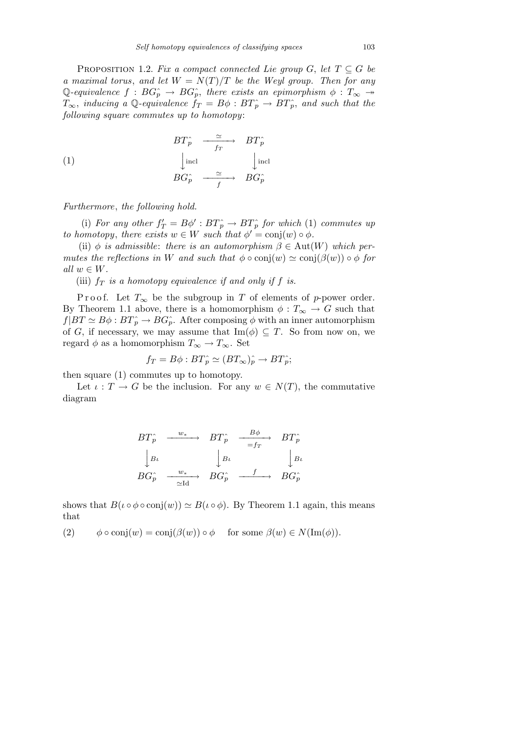PROPOSITION 1.2. Fix a compact connected Lie group G, let  $T \subseteq G$  be a maximal torus, and let  $W = N(T)/T$  be the Weyl group. Then for any Q-equivalence  $f : BG<sub>p</sub> \to BG<sub>p</sub>$ , there exists an epimorphism  $\phi : T_{\infty} \to$  $T_{\infty}$ , inducing a Q-equivalence  $f_T = B\phi : BT_p^{\sim} \rightarrow BT_p^{\sim}$ , and such that the following square commutes up to homotopy:

(1) 
$$
BT_{p}^{\hat{}} \xrightarrow{ \simeq} BT_{p}^{\hat{}} \n\downarrow \text{incl} \xrightarrow{ \text{frr} } BT_{p}^{\hat{}} \n\downarrow \text{incl} \nBG_{p}^{\hat{}} \xrightarrow{ \simeq} BG_{p}^{\hat{}} \n\downarrow
$$

Furthermore, the following hold.

(i) For any other  $f'_T = B\phi' : BT_p \to BT_p^{\hat{}}$  for which (1) commutes up to homotopy, there exists  $w \in W$  such that  $\phi' = \text{conj}(w) \circ \phi$ .

(ii)  $\phi$  is admissible: there is an automorphism  $\beta \in \text{Aut}(W)$  which permutes the reflections in W and such that  $\phi \circ \text{conj}(w) \simeq \text{conj}(\beta(w)) \circ \phi$  for all  $w \in W$ .

(iii)  $f<sub>T</sub>$  is a homotopy equivalence if and only if f is.

P r o o f. Let  $T_\infty$  be the subgroup in T of elements of p-power order. By Theorem 1.1 above, there is a homomorphism  $\phi : T_{\infty} \to G$  such that  $f|BT \simeq B\phi : BT_{p}^{\sim} \rightarrow BG_{p}^{\sim}$ . After composing  $\phi$  with an inner automorphism of G, if necessary, we may assume that  $\text{Im}(\phi) \subseteq T$ . So from now on, we regard  $\phi$  as a homomorphism  $T_{\infty} \to T_{\infty}$ . Set

$$
f_T = B\phi : BT_p^{\hat{}} \simeq (BT_\infty)_p^{\hat{}} \to BT_p^{\hat{}};
$$

then square (1) commutes up to homotopy.

Let  $\iota : T \to G$  be the inclusion. For any  $w \in N(T)$ , the commutative diagram

$$
BT_{p}^{\wedge} \xrightarrow{w_{*}} BT_{p}^{\wedge} \xrightarrow{Bf_{p}} BT_{p}^{\wedge}
$$
  
\n
$$
\downarrow B\iota \qquad \qquad \downarrow B\iota \qquad \qquad \downarrow B\iota
$$
  
\n
$$
BG_{p}^{\wedge} \xrightarrow{w_{*}} BG_{p}^{\wedge} \xrightarrow{f} BG_{p}^{\wedge}
$$

shows that  $B(\iota \circ \phi \circ \text{conj}(w)) \simeq B(\iota \circ \phi)$ . By Theorem 1.1 again, this means that

(2)  $\phi \circ \text{conj}(w) = \text{conj}(\beta(w)) \circ \phi$  for some  $\beta(w) \in N(\text{Im}(\phi)).$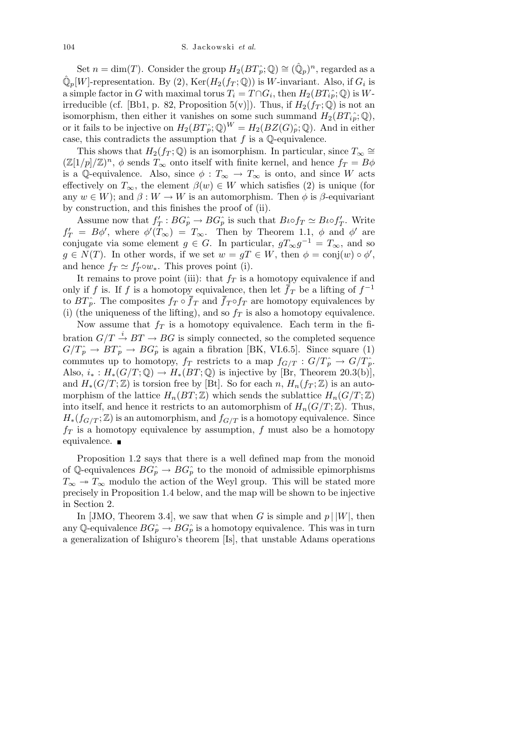Set  $n = \dim(T)$ . Consider the group  $H_2(BT_p^{\hat{}};\mathbb{Q}) \cong (\hat{\mathbb{Q}}_p)^n$ , regarded as a  $\hat{\mathbb{Q}}_p[W]$ -representation. By (2),  $\text{Ker}(H_2(f_T;\mathbb{Q}))$  is W-invariant. Also, if  $G_i$  is a simple factor in G with maximal torus  $T_i = T \cap G_i$ , then  $H_2(BT_i \hat{i}, \mathbb{Q})$  is Wirreducible (cf. [Bb1, p. 82, Proposition 5(v)]). Thus, if  $H_2(f_T; \mathbb{Q})$  is not an isomorphism, then either it vanishes on some such summand  $H_2(BT_i\hat{i}_p;\mathbb{Q}),$ or it fails to be injective on  $H_2(BT_p;\mathbb{Q})^W = H_2(BZ(G)_p;\mathbb{Q})$ . And in either case, this contradicts the assumption that  $f$  is a  $\mathbb Q$ -equivalence.

This shows that  $H_2(f_T; \mathbb{Q})$  is an isomorphism. In particular, since  $T_\infty \cong$  $(\mathbb{Z}[1/p]/\mathbb{Z})^n$ ,  $\phi$  sends  $T_{\infty}$  onto itself with finite kernel, and hence  $f_T = B\phi$ is a Q-equivalence. Also, since  $\phi : T_\infty \to T_\infty$  is onto, and since W acts effectively on  $T_{\infty}$ , the element  $\beta(w) \in W$  which satisfies (2) is unique (for any  $w \in W$ ; and  $\beta : W \to W$  is an automorphism. Then  $\phi$  is  $\beta$ -equivariant by construction, and this finishes the proof of (ii).

Assume now that  $f'_T : BG^{\frown}_p \to BG^{\frown}_p$  is such that  $B\iota \circ f_T \simeq B\iota \circ f'_T$ . Write  $f'_T = B\phi'$ , where  $\phi'(T_\infty) = T_\infty$ . Then by Theorem 1.1,  $\phi$  and  $\phi'$  are conjugate via some element  $g \in G$ . In particular,  $gT_{\infty}g^{-1} = T_{\infty}$ , and so  $g \in N(T)$ . In other words, if we set  $w = gT \in W$ , then  $\phi = \text{conj}(w) \circ \phi'$ , and hence  $f_T \simeq f'_T \circ w_*$ . This proves point (i).

It remains to prove point (iii): that  $f_T$  is a homotopy equivalence if and only if f is. If f is a homotopy equivalence, then let  $\bar{f}_T$  be a lifting of  $f^{-1}$ to  $BT\hat{p}$ . The composites  $f_T \circ \bar{f}_T$  and  $\bar{f}_T \circ f_T$  are homotopy equivalences by (i) (the uniqueness of the lifting), and so  $f<sub>T</sub>$  is also a homotopy equivalence.

Now assume that  $f_T$  is a homotopy equivalence. Each term in the fibration  $G/T \stackrel{i}{\rightarrow} BT \rightarrow BG$  is simply connected, so the completed sequence  $G/T_p \rightarrow BT_p \rightarrow BG_p$  is again a fibration [BK, VI.6.5]. Since square (1) commutes up to homotopy,  $f_T$  restricts to a map  $f_{G/T}: G/T_p^{\sim} \to G/T_p^{\sim}$ . Also,  $i_* : H_*(G/T; \mathbb{Q}) \to H_*(BT; \mathbb{Q})$  is injective by [Br, Theorem 20.3(b)], and  $H_*(G/T;\mathbb{Z})$  is torsion free by [Bt]. So for each n,  $H_n(f_T;\mathbb{Z})$  is an automorphism of the lattice  $H_n(BT;\mathbb{Z})$  which sends the sublattice  $H_n(G/T;\mathbb{Z})$ into itself, and hence it restricts to an automorphism of  $H_n(G/T;\mathbb{Z})$ . Thus,  $H_*(f_{G/T};\mathbb{Z})$  is an automorphism, and  $f_{G/T}$  is a homotopy equivalence. Since  $f_T$  is a homotopy equivalence by assumption, f must also be a homotopy equivalence.  $\blacksquare$ 

Proposition 1.2 says that there is a well defined map from the monoid of Q-equivalences  $BG_p^{\hat{}} \rightarrow BG_p^{\hat{}}$  to the monoid of admissible epimorphisms  $T_{\infty} \rightarrow T_{\infty}$  modulo the action of the Weyl group. This will be stated more precisely in Proposition 1.4 below, and the map will be shown to be injective in Section 2.

In [JMO, Theorem 3.4], we saw that when G is simple and  $p \mid |W|$ , then any Q-equivalence  $BG_p^{\hat{}} \to BG_p^{\hat{}}$  is a homotopy equivalence. This was in turn a generalization of Ishiguro's theorem [Is], that unstable Adams operations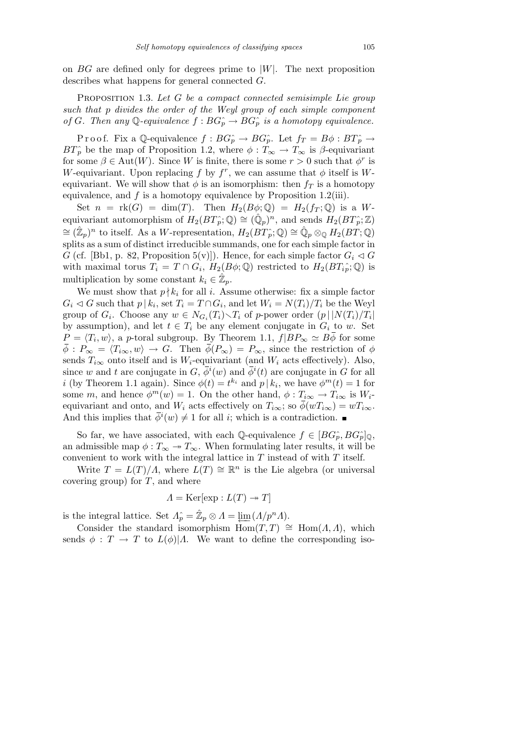on  $BG$  are defined only for degrees prime to  $|W|$ . The next proposition describes what happens for general connected G.

PROPOSITION 1.3. Let G be a compact connected semisimple Lie group such that p divides the order of the Weyl group of each simple component of G. Then any Q-equivalence  $f : BG<sub>p</sub> \to BG<sub>p</sub>$  is a homotopy equivalence.

P r o o f. Fix a Q-equivalence  $f : BG_p \to BG_p$ . Let  $f_T = B\phi : BT_p \to$  $BT\hat{p}$  be the map of Proposition 1.2, where  $\phi : T_\infty \to T_\infty$  is  $\beta$ -equivariant for some  $\beta \in \text{Aut}(W)$ . Since W is finite, there is some  $r > 0$  such that  $\phi^r$  is W-equivariant. Upon replacing f by  $f^r$ , we can assume that  $\phi$  itself is Wequivariant. We will show that  $\phi$  is an isomorphism: then  $f_T$  is a homotopy equivalence, and  $f$  is a homotopy equivalence by Proposition 1.2(iii).

Set  $n = \text{rk}(G) = \dim(T)$ . Then  $H_2(B\phi; \mathbb{Q}) = H_2(f_T; \mathbb{Q})$  is a Wequivariant automorphism of  $H_2(BT_p^{\hat{}};\mathbb{Q}) \cong (\hat{\mathbb{Q}}_p)^n$ , and sends  $H_2(BT_p^{\hat{}};\mathbb{Z})$  $\cong (\hat{\mathbb{Z}}_p)^n$  to itself. As a W-representation,  $H_2(BT_p^{\hat{}};\mathbb{Q}) \cong \hat{\mathbb{Q}}_p \otimes_{\mathbb{Q}} H_2(BT;\mathbb{Q})$ splits as a sum of distinct irreducible summands, one for each simple factor in G (cf. [Bb1, p. 82, Proposition 5(v)]). Hence, for each simple factor  $G_i \triangleleft G$ with maximal torus  $T_i = T \cap G_i$ ,  $H_2(B\phi; \mathbb{Q})$  restricted to  $H_2(BT_i\hat{p}; \mathbb{Q})$  is multiplication by some constant  $k_i \in \hat{\mathbb{Z}}_p$ .

We must show that  $p \nmid k_i$  for all i. Assume otherwise: fix a simple factor  $G_i \lhd G$  such that  $p | k_i$ , set  $T_i = T \cap G_i$ , and let  $W_i = N(T_i)/T_i$  be the Weyl group of  $G_i$ . Choose any  $w \in N_{G_i}(T_i) \setminus T_i$  of p-power order  $(p \mid |N(T_i)/T_i|)$ by assumption), and let  $t \in T_i$  be any element conjugate in  $G_i$  to w. Set  $P = \langle T_i, w \rangle$ , a p-toral subgroup. By Theorem 1.1,  $f|BP_{\infty} \simeq B\phi$  for some  $\overline{\phi}: P_{\infty} = \langle T_{i\infty}, w \rangle \to G$ . Then  $\overline{\phi}(P_{\infty}) = P_{\infty}$ , since the restriction of  $\phi$ sends  $T_{i\infty}$  onto itself and is W<sub>i</sub>-equivariant (and W<sub>i</sub> acts effectively). Also, since w and t are conjugate in  $G, \bar{\phi}^i(w)$  and  $\bar{\phi}^i(t)$  are conjugate in G for all *i* (by Theorem 1.1 again). Since  $\phi(t) = t^{k_i}$  and  $p | k_i$ , we have  $\phi^m(t) = 1$  for some m, and hence  $\phi^m(w) = 1$ . On the other hand,  $\phi : T_{i\infty} \to T_{i\infty}$  is  $W_i$ equivariant and onto, and  $W_i$  acts effectively on  $T_{i\infty}$ ; so  $\overline{\phi}(wT_{i\infty}) = wT_{i\infty}$ . And this implies that  $\bar{\phi}^i(w) \neq 1$  for all *i*; which is a contradiction.

So far, we have associated, with each Q-equivalence  $f \in [BG_p^{\sim}, BG_p^{\sim}]_0$ , an admissible map  $\phi : T_\infty \to T_\infty$ . When formulating later results, it will be convenient to work with the integral lattice in  $T$  instead of with  $T$  itself.

Write  $T = L(T)/\Lambda$ , where  $L(T) \cong \mathbb{R}^n$  is the Lie algebra (or universal covering group) for  $T$ , and where

$$
\Lambda = \text{Ker}[\exp : L(T) \twoheadrightarrow T]
$$

is the integral lattice. Set  $\Lambda_p^{\hat{}} = \mathbb{Z}_p \otimes \Lambda = \varprojlim (\Lambda/p^n \Lambda).$ 

Consider the standard isomorphism  $\text{Hom}(T, T) \cong \text{Hom}(A, A)$ , which sends  $\phi: T \to T$  to  $L(\phi)/\Lambda$ . We want to define the corresponding iso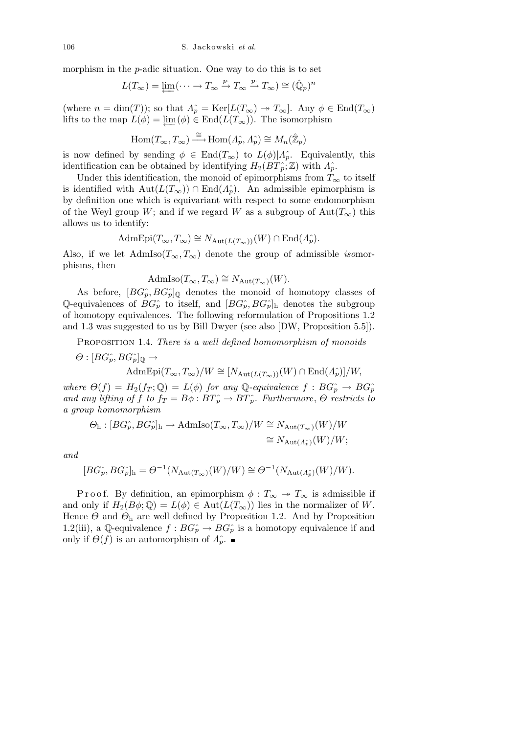106 S. Jackowski et al.

morphism in the  $p$ -adic situation. One way to do this is to set

$$
L(T_{\infty}) = \underleftarrow{\lim} (\cdots \to T_{\infty} \xrightarrow{p} T_{\infty} \xrightarrow{p} T_{\infty}) \cong (\hat{\mathbb{Q}}_p)^n
$$

(where  $n = \dim(T)$ ); so that  $\Lambda_p^{\hat{}} = \text{Ker}[L(T_{\infty}) \to T_{\infty}]$ . Any  $\phi \in \text{End}(T_{\infty})$ lifts to the map  $L(\phi) = \varprojlim (\phi) \in \text{End}(L(T_{\infty}))$ . The isomorphism

$$
\operatorname{Hom}(T_{\infty}, T_{\infty}) \xrightarrow{\cong} \operatorname{Hom}(A_{p}^{\wedge}, A_{p}^{\wedge}) \cong M_{n}(\hat{\mathbb{Z}}_{p})
$$

is now defined by sending  $\phi \in \text{End}(T_{\infty})$  to  $L(\phi)|A_p^{\hat{}}$ . Equivalently, this identification can be obtained by identifying  $H_2(BT_p; \mathbb{Z})$  with  $\Lambda_p^{\hat{}}$ .

Under this identification, the monoid of epimorphisms from  $T_{\infty}$  to itself is identified with  $Aut(L(T_{\infty})) \cap End(\Lambda_p)$ . An admissible epimorphism is by definition one which is equivariant with respect to some endomorphism of the Weyl group W; and if we regard W as a subgroup of  $Aut(T_{\infty})$  this allows us to identify:

$$
\mathrm{AdmEpi}(T_{\infty}, T_{\infty}) \cong N_{\mathrm{Aut}(L(T_{\infty}))}(W) \cap \mathrm{End}(\Lambda_p^{\hat{}}).
$$

Also, if we let  $AdmIso(T_{\infty}, T_{\infty})$  denote the group of admissible *isomor*phisms, then

$$
\mathrm{AdmIso}(T_{\infty}, T_{\infty}) \cong N_{\mathrm{Aut}(T_{\infty})}(W).
$$

As before,  $[BG_p^{\hat{}} , BG_p^{\hat{}}]$ <sub>Q</sub> denotes the monoid of homotopy classes of Q-equivalences of  $BG_p^{\hat{}}$  to itself, and  $[BG_p^{\hat{}}$ ,  $BG_p^{\hat{}}]_h$  denotes the subgroup of homotopy equivalences. The following reformulation of Propositions 1.2 and 1.3 was suggested to us by Bill Dwyer (see also [DW, Proposition 5.5]).

PROPOSITION 1.4. There is a well defined homomorphism of monoids

$$
\Theta : [BG_p^{\hat{}} , BG_p^{\hat{}}]_{\mathbb{Q}} \to
$$
  
AdmEpi $(T_{\infty}, T_{\infty})/W \cong [N_{\text{Aut}(L(T_{\infty}))}(W) \cap \text{End}(A_p^{\hat{}})]/W,$ 

where  $\Theta(f) = H_2(f_T; \mathbb{Q}) = L(\phi)$  for any Q-equivalence  $f : BG_p^* \to BG_p^*$ and any lifting of f to  $f_T = B\phi : BT_p \to BT_p$ . Furthermore,  $\Theta$  restricts to a group homomorphism

$$
\Theta_{\rm h}: [BG_p^{\widehat{\ }} , BG_p^{\widehat{\ }}]_{\rm h} \to {\rm AdmIso}(T_\infty, T_\infty)/W \cong N_{{\rm Aut}(T_\infty)}(W)/W\\ \cong N_{{\rm Aut}(A_p^{\widehat{\ }})}(W)/W;
$$

and

$$
[BG_P^{\hat{}} , BG_P^{\hat{}}]_h = \Theta^{-1}(N_{\text{Aut}(T_{\infty})}(W)/W) \cong \Theta^{-1}(N_{\text{Aut}(A_P^{\hat{}})}(W)/W).
$$

P r o o f. By definition, an epimorphism  $\phi : T_\infty \to T_\infty$  is admissible if and only if  $H_2(B\phi;\mathbb{Q})=L(\phi)\in \text{Aut}(L(T_\infty))$  lies in the normalizer of W. Hence  $\Theta$  and  $\Theta_h$  are well defined by Proposition 1.2. And by Proposition 1.2(iii), a Q-equivalence  $f : BG<sub>p</sub> \to BG<sub>p</sub>$  is a homotopy equivalence if and only if  $\Theta(f)$  is an automorphism of  $\Lambda_p^{\hat{}}$ .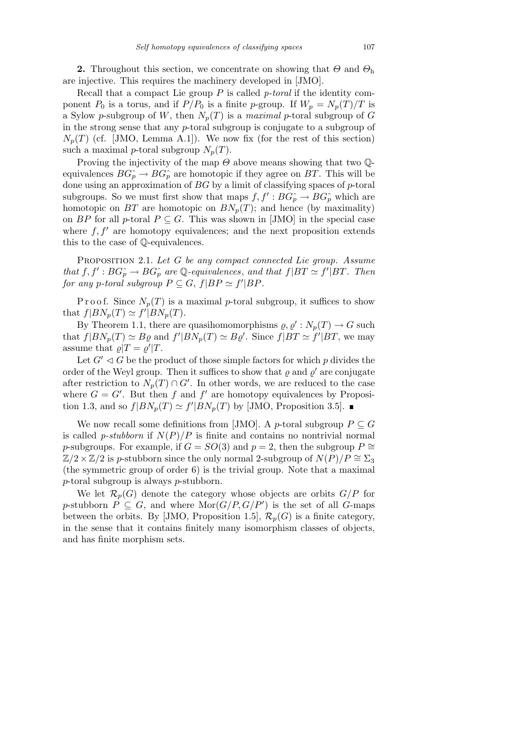**2.** Throughout this section, we concentrate on showing that  $\Theta$  and  $\Theta_h$ are injective. This requires the machinery developed in [JMO].

Recall that a compact Lie group  $P$  is called  $p$ -toral if the identity component  $P_0$  is a torus, and if  $P/P_0$  is a finite p-group. If  $W_p = N_p(T)/T$  is a Sylow p-subgroup of W, then  $N_p(T)$  is a maximal p-toral subgroup of G in the strong sense that any p-toral subgroup is conjugate to a subgroup of  $N_p(T)$  (cf. [JMO, Lemma A.1]). We now fix (for the rest of this section) such a maximal p-toral subgroup  $N_p(T)$ .

Proving the injectivity of the map  $\Theta$  above means showing that two  $\mathbb{Q}$ equivalences  $BG_p^{\hat{}} \rightarrow BG_p^{\hat{}}$  are homotopic if they agree on BT. This will be done using an approximation of  $BG$  by a limit of classifying spaces of  $p$ -toral subgroups. So we must first show that maps  $f, f': BG<sub>p</sub><sup>\frown</sup> \to BG<sub>p</sub><sup>\frown</sup>$  which are homotopic on BT are homotopic on  $BN_p(T)$ ; and hence (by maximality) on BP for all p-toral  $P \subseteq G$ . This was shown in [JMO] in the special case where  $f, f'$  are homotopy equivalences; and the next proposition extends this to the case of Q-equivalences.

PROPOSITION 2.1. Let G be any compact connected Lie group. Assume that  $f, f': BG<sub>p</sub> \to BG<sub>p</sub>$  are Q-equivalences, and that  $f|BT \simeq f'|BT$ . Then for any p-toral subgroup  $P \subseteq G$ ,  $f|BP \simeq f'|BP$ .

P r o o f. Since  $N_p(T)$  is a maximal p-toral subgroup, it suffices to show that  $f|BN_p(T) \simeq f'|BN_p(T)$ .

By Theorem 1.1, there are quasihomomorphisms  $\varrho, \varrho' : N_p(T) \to G$  such that  $f|BN_p(T) \simeq B\varrho$  and  $f'|BN_p(T) \simeq B\varrho'$ . Since  $f|BT \simeq f'|BT$ , we may assume that  $\varrho|T = \varrho'|T$ .

Let  $G' \triangleleft G$  be the product of those simple factors for which p divides the order of the Weyl group. Then it suffices to show that  $\varrho$  and  $\varrho'$  are conjugate after restriction to  $N_p(T) \cap G'$ . In other words, we are reduced to the case where  $G = G'$ . But then f and f' are homotopy equivalences by Proposition 1.3, and so  $f|BN_p(T) \simeq f'|BN_p(T)$  by [JMO, Proposition 3.5].

We now recall some definitions from [JMO]. A p-toral subgroup  $P \subseteq G$ is called *p-stubborn* if  $N(P)/P$  is finite and contains no nontrivial normal p-subgroups. For example, if  $G = SO(3)$  and  $p = 2$ , then the subgroup  $P \cong$  $\mathbb{Z}/2\times\mathbb{Z}/2$  is p-stubborn since the only normal 2-subgroup of  $N(P)/P \cong \Sigma_3$ (the symmetric group of order 6) is the trivial group. Note that a maximal p-toral subgroup is always p-stubborn.

We let  $\mathcal{R}_p(G)$  denote the category whose objects are orbits  $G/P$  for p-stubborn  $P \subseteq G$ , and where  $\text{Mor}(G/P, G/P')$  is the set of all G-maps between the orbits. By [JMO, Proposition 1.5],  $\mathcal{R}_p(G)$  is a finite category, in the sense that it contains finitely many isomorphism classes of objects, and has finite morphism sets.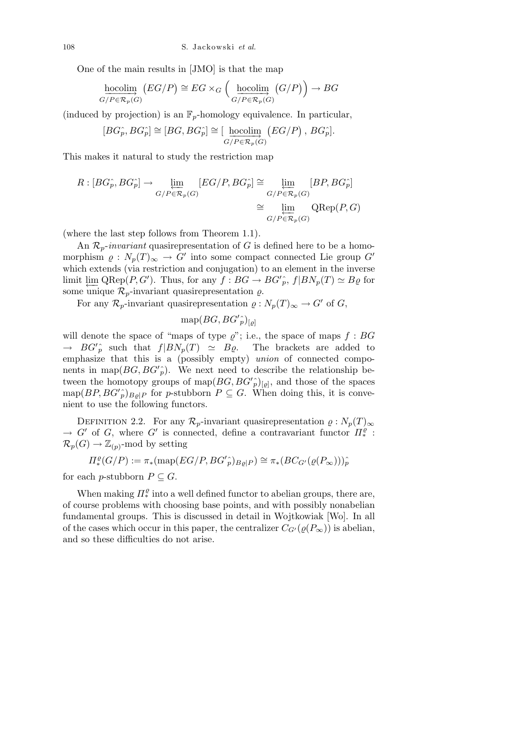One of the main results in [JMO] is that the map

$$
\underset{G/P \in \mathcal{R}_p(G)}{\underline{\text{hocolim}}} (EG/P) \cong EG \times_G \left( \underset{G/P \in \mathcal{R}_p(G)}{\underline{\text{hocolim}}} (G/P) \right) \to BG
$$

(induced by projection) is an  $\mathbb{F}_p$ -homology equivalence. In particular,

$$
[BG_p^{\widehat{}} , BG_p^{\widehat{}}] \cong [BG, BG_p^{\widehat{}}] \cong [\underbrace{\text{hocolim}}_{G/P \in \mathcal{R}_p(G)} (EG/P) , BG_p^{\widehat{}}].
$$

This makes it natural to study the restriction map

$$
R: [BG_p^{\hat{P}}, BG_p^{\hat{P}}] \to \varprojlim_{G/P \in \mathcal{R}_p(G)} [EG/P, BG_p^{\hat{P}}] \cong \varprojlim_{G/P \in \mathcal{R}_p(G)} [BP, BG_p^{\hat{P}}]
$$

$$
\cong \varprojlim_{G/P \in \mathcal{R}_p(G)} \text{QRep}(P, G)
$$

(where the last step follows from Theorem 1.1).

An  $\mathcal{R}_p$ -invariant quasirepresentation of G is defined here to be a homomorphism  $\rho: N_p(T)_{\infty} \to G'$  into some compact connected Lie group  $G'$ which extends (via restriction and conjugation) to an element in the inverse limit  $\varprojlim$  QRep(P,G'). Thus, for any  $f : BG \to BG'_{p}$ ,  $f|BN_{p}(T) \simeq B_{Q}$  for some unique  $\mathcal{R}_p$ -invariant quasirepresentation  $\rho$ .

For any  $\mathcal{R}_p$ -invariant quasirepresentation  $\varrho: N_p(T)_{\infty} \to G'$  of G,

$$
\text{map}(BG, BG'_{p})_{[q]}
$$

will denote the space of "maps of type  $\varrho$ "; i.e., the space of maps  $f : BG$  $\rightarrow BG'_{p}$  such that  $f|BN_{p}(T) \simeq B\varrho$ . The brackets are added to emphasize that this is a (possibly empty) union of connected components in map( $BG, BG'_{p}$ ). We next need to describe the relationship between the homotopy groups of map $(BG, BG')_{\lbrack \varrho \rbrack}$ , and those of the spaces  $\text{map}(BP, BG'_{p})_{B\varrho|P}$  for p-stubborn  $P \subseteq G$ . When doing this, it is convenient to use the following functors.

DEFINITION 2.2. For any  $\mathcal{R}_p$ -invariant quasirepresentation  $\varrho : N_p(T)_{\infty}$  $\rightarrow G'$  of G, where G' is connected, define a contravariant functor  $\Pi_*^{\varrho}$ :  $\mathcal{R}_p(G) \to \mathbb{Z}_{(p)}$ -mod by setting

$$
\Pi^{\varrho}_*(G/P) := \pi_*(\text{map}(EG/P, BG'_{p})_{B\varrho|P}) \cong \pi_*(BC_{G'}(\varrho(P_{\infty})))_{p}^*
$$

for each p-stubborn  $P \subseteq G$ .

When making  $\Pi^{\varrho}_*$  into a well defined functor to abelian groups, there are, of course problems with choosing base points, and with possibly nonabelian fundamental groups. This is discussed in detail in Wojtkowiak [Wo]. In all of the cases which occur in this paper, the centralizer  $C_{G'}(\rho(P_{\infty}))$  is abelian, and so these difficulties do not arise.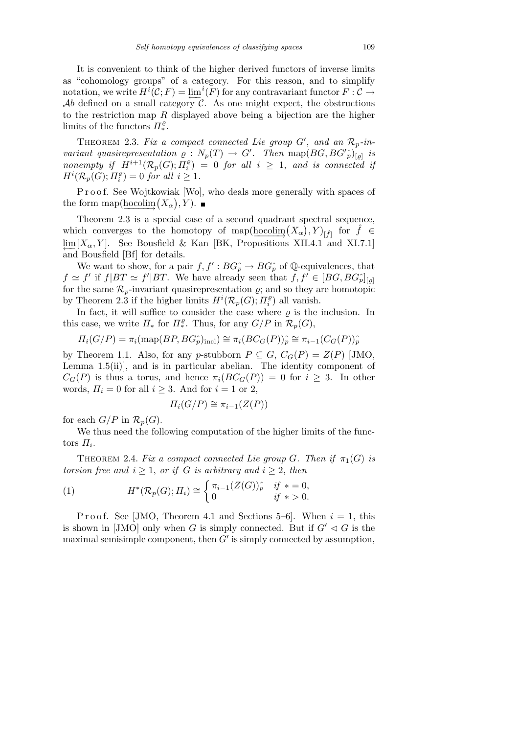It is convenient to think of the higher derived functors of inverse limits as "cohomology groups" of a category. For this reason, and to simplify notation, we write  $H^i(C; F) = \varprojlim^{i}(F)$  for any contravariant functor  $F: C \to$ Ab defined on a small category  $\mathcal{C}$ . As one might expect, the obstructions to the restriction map  $R$  displayed above being a bijection are the higher limits of the functors  $\Pi^{\varrho}_*$ .

THEOREM 2.3. Fix a compact connected Lie group  $G'$ , and an  $\mathcal{R}_p$ -invariant quasirepresentation  $\varrho : N_p(T) \to G'$ . Then map $(BG, BG'_{p})_{[q]}$  is nonempty if  $\overline{H}^{i+1}(\mathcal{R}_p(G); \Pi_i^{\varrho})$  $\binom{p}{i}$  = 0 for all  $i \geq 1$ , and is connected if  $H^i(\overline{\mathcal{R}_p(G)};\overline{H_i^{\varrho}}$  $j_i^{\varrho}) = 0$  for all  $i \geq 1$ .

Proof. See Wojtkowiak [Wo], who deals more generally with spaces of the form map( $\underline{hocolim}(X_\alpha), Y$ ).

Theorem 2.3 is a special case of a second quadrant spectral sequence, which converges to the homotopy of map( $\underline{\text{hocolim}}(X_\alpha)$ , Y)<sub>[f]</sub> for  $\hat{f} \in$  $\lim_{\epsilon} [X_{\alpha}, Y]$ . See Bousfield & Kan [BK, Propositions XII.4.1 and XI.7.1] and Bousfield [Bf] for details.

We want to show, for a pair  $f, f': BG<sub>p</sub> \to BG<sub>p</sub>$  of Q-equivalences, that  $f \simeq f'$  if  $f|BT \simeq f'|BT$ . We have already seen that  $f, f' \in [BG, BG<sub>p</sub>]<sub>[q]</sub>$ for the same  $\mathcal{R}_p$ -invariant quasirepresentation  $\rho$ ; and so they are homotopic by Theorem 2.3 if the higher limits  $H^i(\mathcal{R}_p(G); \Pi_i^{\rho})$  $\binom{p}{i}$  all vanish.

In fact, it will suffice to consider the case where  $\rho$  is the inclusion. In this case, we write  $\Pi_*$  for  $\Pi_*^{\rho}$ . Thus, for any  $G/P$  in  $\mathcal{R}_p(G)$ ,

$$
\Pi_i(G/P) = \pi_i(\text{map}(BP, BG_P^{\wedge})_{\text{incl}}) \cong \pi_i(BC_G(P))_p^{\wedge} \cong \pi_{i-1}(C_G(P))_p^{\wedge}
$$

by Theorem 1.1. Also, for any p-stubborn  $P \subseteq G$ ,  $C_G(P) = Z(P)$  [JMO, Lemma  $1.5(ii)$ , and is in particular abelian. The identity component of  $C_G(P)$  is thus a torus, and hence  $\pi_i(BC_G(P)) = 0$  for  $i \geq 3$ . In other words,  $\Pi_i = 0$  for all  $i \geq 3$ . And for  $i = 1$  or 2,

$$
\Pi_i(G/P) \cong \pi_{i-1}(Z(P))
$$

for each  $G/P$  in  $\mathcal{R}_p(G)$ .

We thus need the following computation of the higher limits of the functors  $\Pi_i$ .

THEOREM 2.4. Fix a compact connected Lie group G. Then if  $\pi_1(G)$  is torsion free and  $i \geq 1$ , or if G is arbitrary and  $i \geq 2$ , then

(1) 
$$
H^*(\mathcal{R}_p(G); \Pi_i) \cong \begin{cases} \pi_{i-1}(Z(G))_p^{\hat{}} & \text{if } * = 0, \\ 0 & \text{if } * > 0. \end{cases}
$$

Proof. See [JMO, Theorem 4.1 and Sections 5–6]. When  $i = 1$ , this is shown in [JMO] only when G is simply connected. But if  $G' \lhd G$  is the maximal semisimple component, then  $G'$  is simply connected by assumption,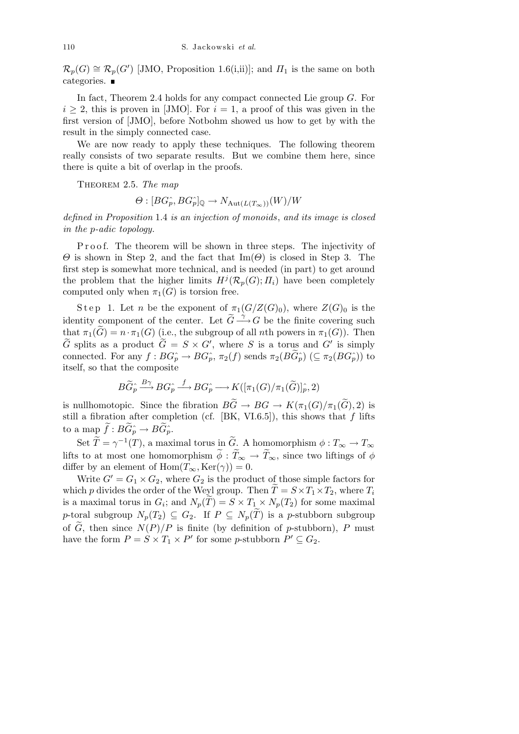$\mathcal{R}_p(G) \cong \mathcal{R}_p(G')$  [JMO, Proposition 1.6(i,ii)]; and  $\Pi_1$  is the same on both categories. ■

In fact, Theorem 2.4 holds for any compact connected Lie group G. For  $i \geq 2$ , this is proven in [JMO]. For  $i = 1$ , a proof of this was given in the first version of [JMO], before Notbohm showed us how to get by with the result in the simply connected case.

We are now ready to apply these techniques. The following theorem really consists of two separate results. But we combine them here, since there is quite a bit of overlap in the proofs.

THEOREM 2.5. The map

 $\Theta: [BG_p^{\wedge}, BG_p^{\wedge}]_0 \to N_{\text{Aut}(L(T_{\infty}))}(W)/W$ 

defined in Proposition 1.4 is an injection of monoids, and its image is closed in the p-adic topology.

Proof. The theorem will be shown in three steps. The injectivity of  $\Theta$  is shown in Step 2, and the fact that Im( $\Theta$ ) is closed in Step 3. The first step is somewhat more technical, and is needed (in part) to get around the problem that the higher limits  $H^j(\mathcal{R}_p(G); \Pi_i)$  have been completely computed only when  $\pi_1(G)$  is torsion free.

Step 1. Let n be the exponent of  $\pi_1(G/Z(G)_0)$ , where  $Z(G)_0$  is the identity component of the center. Let  $\widetilde{G} \stackrel{\gamma}{\longrightarrow} G$  be the finite covering such that  $\pi_1(\widetilde{G}) = n \cdot \pi_1(G)$  (i.e., the subgroup of all *n*th powers in  $\pi_1(G)$ ). Then  $\widetilde{G}$  splits as a product  $\widetilde{G} = S \times G'$ , where S is a torus and G' is simply connected. For any  $f : BG<sub>p</sub> \to BG<sub>p</sub>$ ,  $\pi_2(f)$  sends  $\pi_2(B\tilde{G}_{p}) \ (\subseteq \pi_2(BG_{p}))$  to itself, so that the composite

$$
B\widetilde{G}_{p}^{\wedge} \stackrel{B\gamma}{\longrightarrow} BG_{p}^{\wedge} \stackrel{f}{\longrightarrow} BG_{p}^{\wedge} \longrightarrow K([\pi_1(G)/\pi_1(\widetilde{G})]_{p}^{\wedge}, 2)
$$

is nullhomotopic. Since the fibration  $B\widetilde{G} \to BG \to K(\pi_1(G)/\pi_1(\widetilde{G}), 2)$  is still a fibration after completion (cf.  $[BK, VI.6.5]$ ), this shows that f lifts to a map  $f: BG_p^{\wedge} \to BG_p^{\wedge}$ .

Set  $T = \gamma^{-1}(T)$ , a maximal torus in  $\widetilde{G}$ . A homomorphism  $\phi: T_{\infty} \to T_{\infty}$ lifts to at most one homomorphism  $\tilde{\phi}$  :  $\tilde{T}_{\infty} \to \tilde{T}_{\infty}$ , since two liftings of  $\phi$ differ by an element of  $\text{Hom}(T_{\infty}, \text{Ker}(\gamma)) = 0.$ 

Write  $G' = G_1 \times G_2$ , where  $G_2$  is the product of those simple factors for which p divides the order of the Weyl group. Then  $\tilde{T} = S \times T_1 \times T_2$ , where  $T_i$ is a maximal torus in  $G_i$ ; and  $N_p(T) = S \times T_1 \times N_p(T_2)$  for some maximal p-toral subgroup  $N_p(T_2) \subseteq G_2$ . If  $P \subseteq N_p(\tilde{T})$  is a p-stubborn subgroup of  $\tilde{G}$ , then since  $N(P)/P$  is finite (by definition of p-stubborn), P must have the form  $P = S \times T_1 \times P'$  for some p-stubborn  $P' \subseteq G_2$ .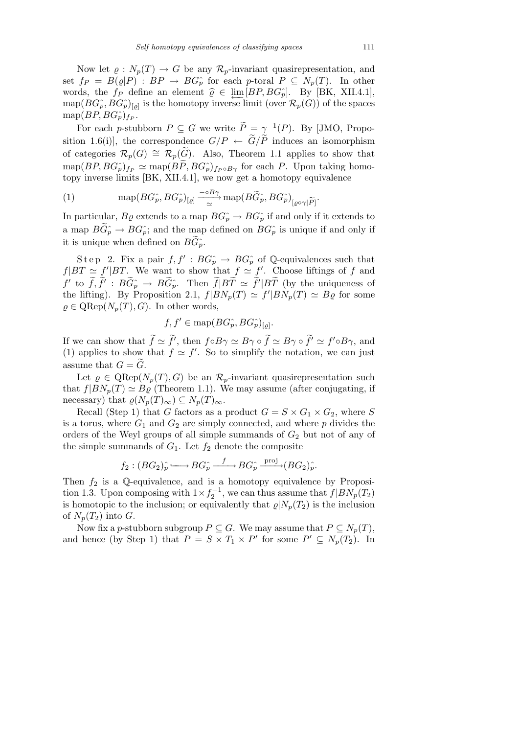Now let  $\rho: N_p(T) \to G$  be any  $\mathcal{R}_p$ -invariant quasirepresentation, and set  $f_P = B(\varrho|P) : BP \to BG_p^{\wedge}$  for each p-toral  $P \subseteq N_p(T)$ . In other words, the  $f_P$  define an element  $\hat{\varrho} \in \lim_{B \to \infty} [BP, BG\hat{P}]$ . By [BK, XII.4.1],<br>man( $BC\hat{P}$ ,  $BC\hat{P}$ ), is the homotony inverse limit (over  $\mathcal{P}$ ,  $(C)$ ) of the spaces  $\text{map}(BG_{p}^{\sim}, BG_{p}^{\sim})_{[q]}$  is the homotopy inverse limit (over  $\mathcal{R}_{p}(G)$ ) of the spaces  $\mathrm{map}(BP,BG_{p}^{\wedge})_{f_{P}}.$ 

For each p-stubborn  $P \subseteq G$  we write  $\widetilde{P} = \gamma^{-1}(P)$ . By [JMO, Proposition 1.6(i)], the correspondence  $G/P \leftarrow \widetilde{G}/\widetilde{P}$  induces an isomorphism of categories  $\mathcal{R}_p(G) \cong \mathcal{R}_p(\widetilde{G})$ . Also, Theorem 1.1 applies to show that  $\text{map}(BP, BG_p^{\hat{}})_{fp} \simeq \text{map}(B\widetilde{P}, BG_p^{\hat{}})_{fp \circ B\gamma}$  for each P. Upon taking homotopy inverse limits [BK, XII.4.1], we now get a homotopy equivalence

(1) 
$$
\text{map}(BG_p^{\hat{}} , BG_p^{\hat{}})_{[e]} \xrightarrow{\sim} \text{map}(B\widetilde{G}_p^{\hat{}} , BG_p^{\hat{}})_{[e^{\text{O}\gamma}|\widetilde{P}]}.
$$

In particular,  $B\varrho$  extends to a map  $BG_p \to BG_p$  if and only if it extends to a map  $B\widetilde{G}_{p}^{\widehat{}} \to BG\widehat{p}$ ; and the map defined on  $BG\widehat{p}$  is unique if and only if it is unique when defined on  $BG_{p}^{\sim}$ .

Step 2. Fix a pair  $f, f' : BG<sub>p</sub> \to BG<sub>p</sub>$  of Q-equivalences such that  $f|BT \simeq f'|BT$ . We want to show that  $f \simeq f'$ . Choose liftings of f and  $f'$  to  $\tilde{f}, \tilde{f}' : B\tilde{G}_p^{\hat{}} \to B\tilde{G}_p^{\hat{}}$ . Then  $\tilde{f}|B\tilde{T} \simeq \tilde{f}'|B\tilde{T}$  (by the uniqueness of the lifting). By Proposition 2.1,  $f|BN_p(T) \simeq f'|BN_p(T) \simeq B\varrho$  for some  $\rho \in \text{QRep}(N_p(T), G)$ . In other words,

$$
f, f' \in \text{map}(BG_p^{\wedge}, BG_p^{\wedge})_{[q]}.
$$

If we can show that  $\tilde{f} \simeq \tilde{f}'$ , then  $f \circ B\gamma \simeq B\gamma \circ \tilde{f} \simeq B\gamma \circ \tilde{f}' \simeq f' \circ B\gamma$ , and (1) applies to show that  $f \simeq f'$ . So to simplify the notation, we can just assume that  $G = G$ .

Let  $\rho \in \text{QRep}(N_p(T), G)$  be an  $\mathcal{R}_p$ -invariant quasirepresentation such that  $f|BN_p(T) \simeq B\rho$  (Theorem 1.1). We may assume (after conjugating, if necessary) that  $\varrho(N_p(T)_\infty) \subseteq N_p(T)_\infty$ .

Recall (Step 1) that G factors as a product  $G = S \times G_1 \times G_2$ , where S is a torus, where  $G_1$  and  $G_2$  are simply connected, and where p divides the orders of the Weyl groups of all simple summands of  $G_2$  but not of any of the simple summands of  $G_1$ . Let  $f_2$  denote the composite

$$
f_2:(BG_2)^{\hat{}}_p \longleftrightarrow BG^{\hat{}}_p \xrightarrow{f} BG^{\hat{}}_p \xrightarrow{\text{proj}} (BG_2)^{\hat{}}_p.
$$

Then  $f_2$  is a Q-equivalence, and is a homotopy equivalence by Proposition 1.3. Upon composing with  $1 \times f_2^{-1}$ , we can thus assume that  $f|BN_p(T_2)$ is homotopic to the inclusion; or equivalently that  $\varrho|N_p(T_2)$  is the inclusion of  $N_p(T_2)$  into G.

Now fix a p-stubborn subgroup  $P \subseteq G$ . We may assume that  $P \subseteq N_p(T)$ , and hence (by Step 1) that  $P = S \times T_1 \times P'$  for some  $P' \subseteq N_p(T_2)$ . In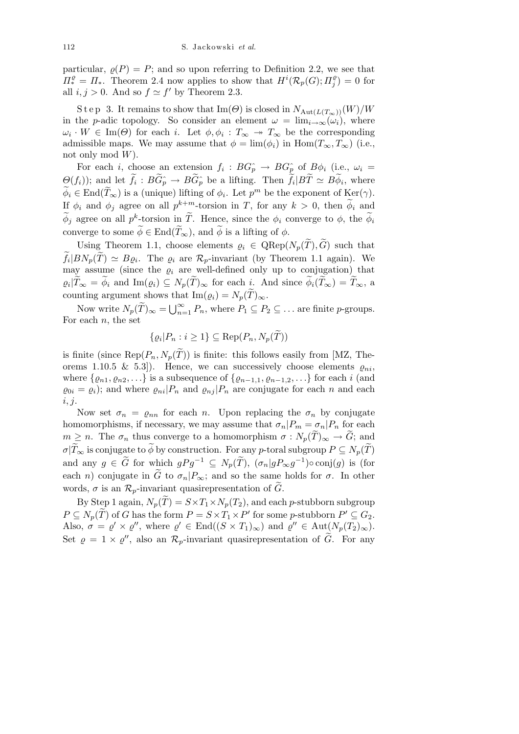particular,  $\rho(P) = P$ ; and so upon referring to Definition 2.2, we see that  $\Pi^{\varrho}_* = \Pi_*$ . Theorem 2.4 now applies to show that  $H^i(\mathcal{R}_p(G); \Pi^{\varrho}_j)$  $j^{(0)}_j$  = 0 for all  $i, j > 0$ . And so  $f \simeq f'$  by Theorem 2.3.

S t e p 3. It remains to show that Im( $\Theta$ ) is closed in  $N_{\text{Aut}(L(T_{\infty}))}(W)/W$ in the p-adic topology. So consider an element  $\omega = \lim_{i \to \infty} (\omega_i)$ , where  $\omega_i \cdot W \in \text{Im}(\Theta)$  for each i. Let  $\phi, \phi_i : T_\infty \to T_\infty$  be the corresponding admissible maps. We may assume that  $\phi = \lim_{\phi_i} (\phi_i)$  in  $\text{Hom}(T_\infty, T_\infty)$  (i.e., not only mod  $W$ ).

For each *i*, choose an extension  $f_i : BG_p^{\frown} \to BG_p^{\frown}$  of  $B\phi_i$  (i.e.,  $\omega_i =$  $\Theta(f_i)$ ; and let  $f_i: BG_p^{\frown} \to BG_p^{\frown}$  be a lifting. Then  $f_i|BT \simeq B\phi_i$ , where  $\phi_i \in \text{End}(\tilde{T}_{\infty})$  is a (unique) lifting of  $\phi_i$ . Let  $p^m$  be the exponent of  $\text{Ker}(\gamma)$ . If  $\phi_i$  and  $\phi_j$  agree on all  $p^{k+m}$ -torsion in T, for any  $k > 0$ , then  $\phi_i$  and  $\widetilde{\phi}_j$  agree on all  $p^k$ -torsion in  $\widetilde{T}$ . Hence, since the  $\phi_i$  converge to  $\phi$ , the  $\widetilde{\phi}_i$ converge to some  $\phi \in \text{End}(\tilde{T}_{\infty})$ , and  $\phi$  is a lifting of  $\phi$ .

Using Theorem 1.1, choose elements  $\rho_i \in \text{QRep}(N_p(T), G)$  such that  $f_i|BN_p(T) \simeq B\varrho_i$ . The  $\varrho_i$  are  $\mathcal{R}_p$ -invariant (by Theorem 1.1 again). We may assume (since the  $\rho_i$  are well-defined only up to conjugation) that  $\varrho_i|T_\infty = \phi_i$  and  $\text{Im}(\varrho_i) \subseteq N_p(T)_\infty$  for each i. And since  $\phi_i(T_\infty) = T_\infty$ , a counting argument shows that Im $(\varrho_i) = N_p(T)_{\infty}$ .

Now write  $N_p(\tilde{T})_{\infty} = \bigcup_{n=1}^{\infty} P_n$ , where  $P_1 \subseteq P_2 \subseteq \dots$  are finite p-groups. For each  $n$ , the set

$$
\{ \varrho_i | P_n : i \ge 1 \} \subseteq \text{Rep}(P_n, N_p(T))
$$

is finite (since  $\text{Rep}(P_n, N_p(\tilde{T}))$ ) is finite: this follows easily from [MZ, Theorems 1.10.5 & 5.3]). Hence, we can successively choose elements  $\varrho_{ni}$ , where  $\{\varrho_{n1}, \varrho_{n2}, \ldots\}$  is a subsequence of  $\{\varrho_{n-1,1}, \varrho_{n-1,2}, \ldots\}$  for each i (and  $\varrho_{0i} = \varrho_i$ ; and where  $\varrho_{ni} |P_n$  and  $\varrho_{ni} |P_n$  are conjugate for each n and each  $i, j.$ 

Now set  $\sigma_n = \rho_{nn}$  for each n. Upon replacing the  $\sigma_n$  by conjugate homomorphisms, if necessary, we may assume that  $\sigma_n|P_m = \sigma_n|P_n$  for each  $m \geq n$ . The  $\sigma_n$  thus converge to a homomorphism  $\sigma : N_p(\tilde{T})_{\infty} \to \tilde{G}$ ; and  $\sigma|\widetilde{T}_{\infty}$  is conjugate to  $\widetilde{\phi}$  by construction. For any p-toral subgroup  $P \subseteq N_p(\widetilde{T})$ and any  $g \in \tilde{G}$  for which  $gPg^{-1} \subseteq N_p(\tilde{T})$ ,  $(\sigma_n|gP_{\infty}g^{-1}) \circ \text{conj}(g)$  is (for each n) conjugate in  $\tilde{G}$  to  $\sigma_n|P_\infty$ ; and so the same holds for  $\sigma$ . In other words,  $\sigma$  is an  $\mathcal{R}_p$ -invariant quasirepresentation of G.

By Step 1 again,  $N_p(T) = S \times T_1 \times N_p(T_2)$ , and each p-stubborn subgroup  $P \subseteq N_p(\tilde{T})$  of G has the form  $P = S \times T_1 \times P'$  for some p-stubborn  $P' \subseteq G_2$ . Also,  $\sigma = \varrho' \times \varrho''$ , where  $\varrho' \in End((S \times T_1)_{\infty})$  and  $\varrho'' \in Aut(N_p(T_2)_{\infty})$ . Set  $\varrho = 1 \times \varrho''$ , also an  $\mathcal{R}_p$ -invariant quasirepresentation of  $\tilde{G}$ . For any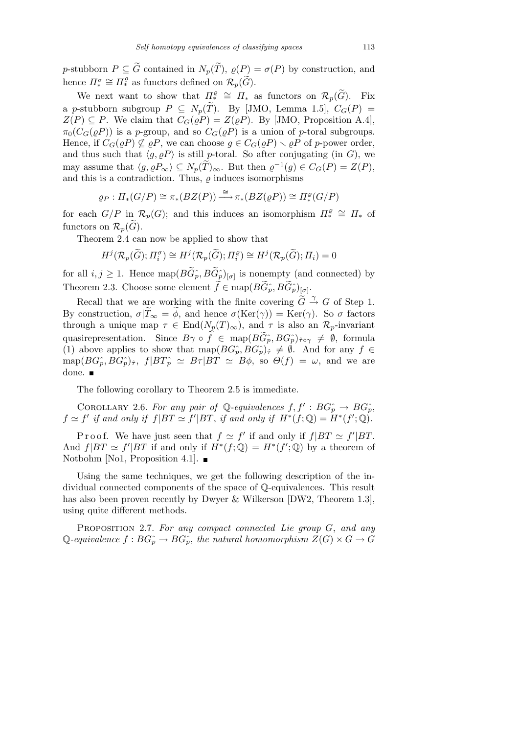p-stubborn  $P \subseteq \tilde{G}$  contained in  $N_p(\tilde{T}), \varrho(P) = \sigma(P)$  by construction, and hence  $\Pi_*^{\sigma} \cong \Pi_*^{\varrho}$  as functors defined on  $\mathcal{R}_p(\widetilde{G})$ .

We next want to show that  $\Pi^{\varrho}_{\ast} \cong \Pi_{\ast}$  as functors on  $\mathcal{R}_{p}(\widetilde{G})$ . Fix a p-stubborn subgroup  $P \subseteq N_p(\tilde{T})$ . By [JMO, Lemma 1.5],  $C_G(P)$  =  $Z(P) \subseteq P$ . We claim that  $C_G(\rho P) = Z(\rho P)$ . By [JMO, Proposition A.4],  $\pi_0(C_G(\varrho P))$  is a p-group, and so  $C_G(\varrho P)$  is a union of p-toral subgroups. Hence, if  $C_G(\varrho P) \nsubseteq \varrho P$ , we can choose  $g \in C_G(\varrho P) \setminus \varrho P$  of p-power order, and thus such that  $\langle g, \varrho P \rangle$  is still p-toral. So after conjugating (in G), we may assume that  $\langle g, \rho P_{\infty} \rangle \subseteq N_p(T)_{\infty}$ . But then  $\varrho^{-1}(g) \in C_G(P) = Z(P)$ , and this is a contradiction. Thus,  $\varrho$  induces isomorphisms

$$
\varrho_P: \Pi_*(G/P) \cong \pi_*(BZ(P)) \xrightarrow{\cong} \pi_*(BZ(\varrho P)) \cong \Pi_*^{\varrho}(G/P)
$$

for each  $G/P$  in  $\mathcal{R}_p(G)$ ; and this induces an isomorphism  $\Pi_*^{\rho} \cong \Pi_*$  of functors on  $\mathcal{R}_n(\widetilde{G})$ .

Theorem 2.4 can now be applied to show that

$$
H^j(\mathcal{R}_p(\widetilde{G});\Pi_i^{\sigma}) \cong H^j(\mathcal{R}_p(\widetilde{G});\Pi_i^{\varrho}) \cong H^j(\mathcal{R}_p(\widetilde{G});\Pi_i) = 0
$$

for all  $i, j \geq 1$ . Hence  $\text{map}(BG_p^{\hat{}}), BG_p^{\hat{}})_{[\sigma]}$  is nonempty (and connected) by Theorem 2.3. Choose some element  $f \in \text{map}(BG_p^{\hat{}} , BG_p^{\hat{}})_{[\sigma]}$ .

Recall that we are working with the finite covering  $\widetilde{G} \stackrel{\gamma}{\rightarrow} G$  of Step 1. By construction,  $\sigma|\tilde{T}_{\infty} = \phi$ , and hence  $\sigma(\text{Ker}(\gamma)) = \text{Ker}(\gamma)$ . So  $\sigma$  factors through a unique map  $\tau \in \text{End}(N_p(T)_{\infty})$ , and  $\tau$  is also an  $\mathcal{R}_p$ -invariant quasirepresentation. Since  $B\gamma \circ f \in \text{map}(BG_p^{\hat{}} , BG_p^{\hat{}} )_{\hat{\tau} \circ \gamma} \neq \emptyset$ , formula (1) above applies to show that  $\text{map}(BG_p, BG_p)_{\hat{\tau}} \neq \emptyset$ . And for any  $f \in$  $map(BG_{p}^{\wedge}, BG_{p}^{\wedge})_{\hat{\tau}},$   $f|BT_{p}^{\wedge} \simeq B\tau|BT \simeq B\phi$ , so  $\Theta(f) = \omega$ , and we are done.

The following corollary to Theorem 2.5 is immediate.

COROLLARY 2.6. For any pair of Q-equivalences  $f, f': BG_p^{\frown} \to BG_p^{\frown}$  $f \simeq f'$  if and only if  $f|BT \simeq f'|BT$ , if and only if  $H^*(f; \mathbb{Q}) = H^*(f'; \mathbb{Q})$ .

Proof. We have just seen that  $f \simeq f'$  if and only if  $f|BT \simeq f'|BT$ . And  $f|BT \simeq f'|BT$  if and only if  $H^*(f;\mathbb{Q}) = H^*(f';\mathbb{Q})$  by a theorem of Notbohm [No1, Proposition 4.1].  $\blacksquare$ 

Using the same techniques, we get the following description of the individual connected components of the space of Q-equivalences. This result has also been proven recently by Dwyer & Wilkerson [DW2, Theorem 1.3], using quite different methods.

PROPOSITION 2.7. For any compact connected Lie group G, and any Q-equivalence  $f : BG<sub>p</sub> \to BG<sub>p</sub>$ , the natural homomorphism  $Z(G) \times G \to G$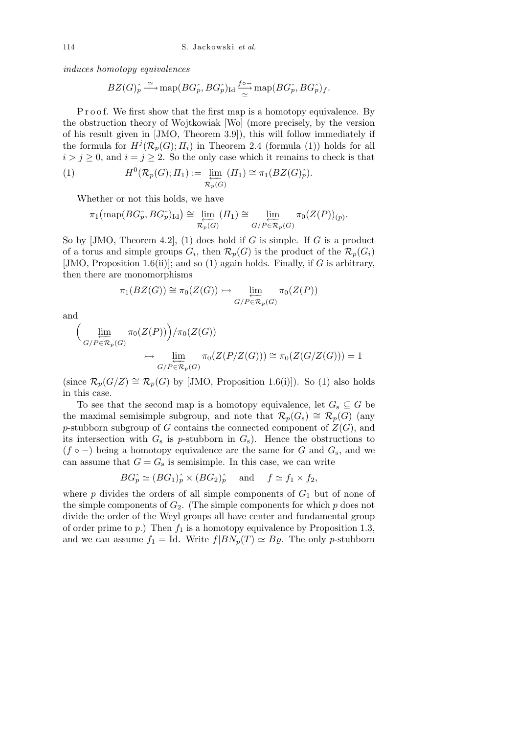induces homotopy equivalences

$$
BZ(G)^{\widehat{}}_p \stackrel{\simeq}{\longrightarrow} \textrm{map}(BG^{\widehat{}}_p, BG^{\widehat{}}_p)_{\textrm{Id}} \frac{f \circ \overline{\phantom{}}}{\simeq} \textrm{map}(BG^{\widehat{}}_p, BG^{\widehat{}}_p)_f.
$$

P r o o f. We first show that the first map is a homotopy equivalence. By the obstruction theory of Wojtkowiak [Wo] (more precisely, by the version of his result given in [JMO, Theorem 3.9]), this will follow immediately if the formula for  $H^j(\mathcal{R}_p(G); \Pi_i)$  in Theorem 2.4 (formula (1)) holds for all  $i > j \geq 0$ , and  $i = j \geq 2$ . So the only case which it remains to check is that

(1) 
$$
H^{0}(\mathcal{R}_{p}(G); \Pi_{1}) := \varprojlim_{\mathcal{R}_{p}(G)} (\Pi_{1}) \cong \pi_{1}(BZ(G)^{\wedge}_{p}).
$$

Whether or not this holds, we have

$$
\pi_1\big(\mathrm{map}(BG_p^{\wedge}, BG_p^{\wedge})_{\mathrm{Id}}\big) \cong \varprojlim_{\mathcal{R}_p(G)}\left(\Pi_1\right) \cong \varprojlim_{G/P \in \mathcal{R}_p(G)} \pi_0(Z(P))_{(p)}.
$$

So by  $[JMO, Theorem 4.2], (1)$  does hold if G is simple. If G is a product of a torus and simple groups  $G_i$ , then  $\mathcal{R}_p(G)$  is the product of the  $\mathcal{R}_p(G_i)$ [JMO, Proposition 1.6(ii)]; and so (1) again holds. Finally, if G is arbitrary, then there are monomorphisms

$$
\pi_1(BZ(G)) \cong \pi_0(Z(G)) \rightarrowtail \varprojlim_{G/P \in \mathcal{R}_p(G)} \pi_0(Z(P))
$$

and

$$
\left(\lim_{\substack{G/P \in \mathcal{R}_p(G)}} \pi_0(Z(P))\right) / \pi_0(Z(G))
$$
  

$$
\rightarrow \lim_{\substack{G/P \in \mathcal{R}_p(G)}} \pi_0(Z(P/Z(G))) \cong \pi_0(Z(G/Z(G))) = 1
$$

(since  $\mathcal{R}_p(G/Z) \cong \mathcal{R}_p(G)$  by [JMO, Proposition 1.6(i)]). So (1) also holds in this case.

To see that the second map is a homotopy equivalence, let  $G_s \subseteq G$  be the maximal semisimple subgroup, and note that  $\mathcal{R}_p(G_s) \cong \mathcal{R}_p(G)$  (any p-stubborn subgroup of G contains the connected component of  $Z(G)$ , and its intersection with  $G_s$  is p-stubborn in  $G_s$ ). Hence the obstructions to  $(f \circ -)$  being a homotopy equivalence are the same for G and  $G_s$ , and we can assume that  $G = G<sub>s</sub>$  is semisimple. In this case, we can write

$$
BG_p^{\sim} \simeq (BG_1)_p^{\sim} \times (BG_2)_p^{\sim} \quad \text{and} \quad f \simeq f_1 \times f_2,
$$

where  $p$  divides the orders of all simple components of  $G_1$  but of none of the simple components of  $G_2$ . (The simple components for which  $p$  does not divide the order of the Weyl groups all have center and fundamental group of order prime to  $p$ .) Then  $f_1$  is a homotopy equivalence by Proposition 1.3, and we can assume  $f_1 = \text{Id}$ . Write  $f|BN_p(T) \simeq B\rho$ . The only p-stubborn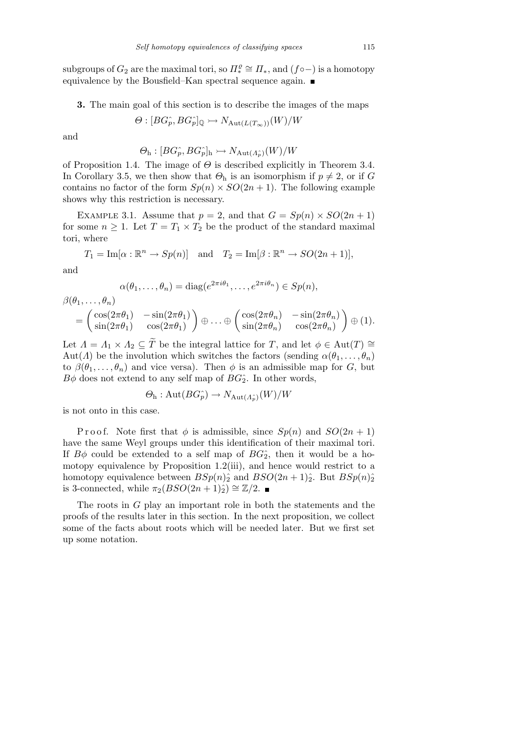subgroups of  $G_2$  are the maximal tori, so  $\Pi^{\varrho}_* \cong \Pi_*$ , and  $(f \circ - )$  is a homotopy equivalence by the Bousfield–Kan spectral sequence again. ■

3. The main goal of this section is to describe the images of the maps

$$
\Theta : [BG_p^{\hat{}} , BG_p^{\hat{}}]_{\mathbb{Q}} \rightarrowtail N_{\mathrm{Aut}(L(T_{\infty}))}(W)/W
$$

and

$$
\Theta_{\mathrm{h}}:[BG_{p}^{\wedge},BG_{p}^{\wedge}]_{\mathrm{h}}\rightarrowtail N_{\mathrm{Aut}(A_{p}^{\wedge})}(W)/W
$$

of Proposition 1.4. The image of  $\Theta$  is described explicitly in Theorem 3.4. In Corollary 3.5, we then show that  $\Theta_h$  is an isomorphism if  $p \neq 2$ , or if G contains no factor of the form  $Sp(n) \times SO(2n+1)$ . The following example shows why this restriction is necessary.

EXAMPLE 3.1. Assume that  $p = 2$ , and that  $G = Sp(n) \times SO(2n + 1)$ for some  $n \geq 1$ . Let  $T = T_1 \times T_2$  be the product of the standard maximal tori, where

$$
T_1 = \text{Im}[\alpha : \mathbb{R}^n \to Sp(n)]
$$
 and  $T_2 = \text{Im}[\beta : \mathbb{R}^n \to SO(2n+1)],$ 

and

$$
\alpha(\theta_1,\ldots,\theta_n) = \text{diag}(e^{2\pi i \theta_1},\ldots,e^{2\pi i \theta_n}) \in Sp(n),
$$

$$
\begin{split} \beta(\theta_1,\ldots,\theta_n) \\ &= \begin{pmatrix} \cos(2\pi\theta_1) & -\sin(2\pi\theta_1) \\ \sin(2\pi\theta_1) & \cos(2\pi\theta_1) \end{pmatrix} \oplus \ldots \oplus \begin{pmatrix} \cos(2\pi\theta_n) & -\sin(2\pi\theta_n) \\ \sin(2\pi\theta_n) & \cos(2\pi\theta_n) \end{pmatrix} \oplus (1). \end{split}
$$

Let  $\Lambda = \Lambda_1 \times \Lambda_2 \subseteq \tilde{T}$  be the integral lattice for T, and let  $\phi \in Aut(T) \cong$ Aut( $\Lambda$ ) be the involution which switches the factors (sending  $\alpha(\theta_1, \ldots, \theta_n)$ ) to  $\beta(\theta_1,\ldots,\theta_n)$  and vice versa). Then  $\phi$  is an admissible map for G, but  $B\phi$  does not extend to any self map of  $BG_2^c$ . In other words,

$$
\Theta_{\rm h}: \text{Aut}(BG_p^*) \to N_{\text{Aut}(A_p^*)}(W)/W
$$

is not onto in this case.

P r o o f. Note first that  $\phi$  is admissible, since  $Sp(n)$  and  $SO(2n+1)$ have the same Weyl groups under this identification of their maximal tori. If  $B\phi$  could be extended to a self map of  $BG_2^{\hat{}}$ , then it would be a homotopy equivalence by Proposition 1.2(iii), and hence would restrict to a homotopy equivalence between  $B\mathfrak{S}_p(n)$ <sup>2</sup> and  $BSO(2n+1)$ <sup>2</sup>. But  $B\mathfrak{S}_p(n)$ <sup>2</sup> is 3-connected, while  $\pi_2(BSO(2n+1)_{\hat{2}}) \cong \mathbb{Z}/2$ . ■

The roots in  $G$  play an important role in both the statements and the proofs of the results later in this section. In the next proposition, we collect some of the facts about roots which will be needed later. But we first set up some notation.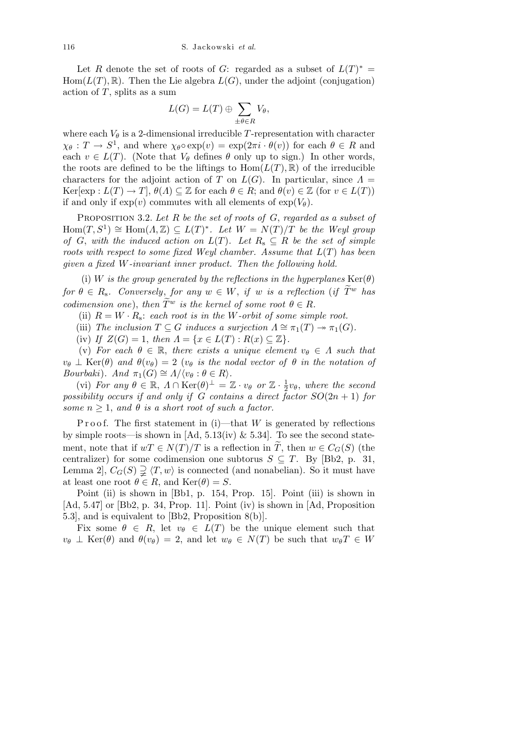Let R denote the set of roots of G: regarded as a subset of  $L(T)^* =$  $Hom(L(T), \mathbb{R})$ . Then the Lie algebra  $L(G)$ , under the adjoint (conjugation) action of  $T$ , splits as a sum

$$
L(G) = L(T) \oplus \sum_{\pm \theta \in R} V_{\theta},
$$

where each  $V_{\theta}$  is a 2-dimensional irreducible T-representation with character  $\chi_{\theta}: T \to S^1$ , and where  $\chi_{\theta} \circ \exp(v) = \exp(2\pi i \cdot \theta(v))$  for each  $\theta \in R$  and each  $v \in L(T)$ . (Note that  $V_{\theta}$  defines  $\theta$  only up to sign.) In other words, the roots are defined to be the liftings to  $Hom(L(T), \mathbb{R})$  of the irreducible characters for the adjoint action of T on  $L(G)$ . In particular, since  $\Lambda =$  $\text{Ker}[\exp: L(T) \to T], \theta(\Lambda) \subseteq \mathbb{Z}$  for each  $\theta \in R$ ; and  $\theta(v) \in \mathbb{Z}$  (for  $v \in L(T)$ ) if and only if  $\exp(v)$  commutes with all elements of  $\exp(V_{\theta})$ .

PROPOSITION 3.2. Let R be the set of roots of  $G$ , regarded as a subset of  $Hom(T, S^1) \cong Hom(\Lambda, \mathbb{Z}) \subseteq L(T)^*$ . Let  $W = N(T)/T$  be the Weyl group of G, with the induced action on  $L(T)$ . Let  $R_s \subseteq R$  be the set of simple roots with respect to some fixed Weyl chamber. Assume that  $L(T)$  has been given a fixed W-invariant inner product. Then the following hold.

(i) W is the group generated by the reflections in the hyperplanes  $\text{Ker}(\theta)$ for  $\theta \in R_{\rm s}$ . Conversely, for any  $w \in W$ , if w is a reflection (if  $\tilde{T}^w$  has codimension one), then  $\widetilde{T}^w$  is the kernel of some root  $\theta \in R$ .

(ii)  $R = W \cdot R_s$ : each root is in the W-orbit of some simple root.

(iii) The inclusion  $T \subseteq G$  induces a surjection  $\Lambda \cong \pi_1(T) \to \pi_1(G)$ .

(iv) If  $Z(G) = 1$ , then  $\Lambda = \{x \in L(T) : R(x) \subset \mathbb{Z}\}.$ 

(v) For each  $\theta \in \mathbb{R}$ , there exists a unique element  $v_{\theta} \in \Lambda$  such that  $v_{\theta} \perp \text{Ker}(\theta)$  and  $\theta(v_{\theta}) = 2$  ( $v_{\theta}$  is the nodal vector of  $\theta$  in the notation of Bourbaki). And  $\pi_1(G) \cong \Lambda / \langle v_\theta : \theta \in R \rangle$ .

(vi) For any  $\theta \in \mathbb{R}, \ \Lambda \cap \text{Ker}(\theta)^{\perp} = \mathbb{Z} \cdot v_{\theta} \text{ or } \mathbb{Z} \cdot \frac{1}{2}$  $\frac{1}{2}v_{\theta}$ , where the second possibility occurs if and only if G contains a direct factor  $SO(2n + 1)$  for some  $n \geq 1$ , and  $\theta$  is a short root of such a factor.

P r o o f. The first statement in (i)—that  $W$  is generated by reflections by simple roots—is shown in [Ad,  $5.13(iv)$  &  $5.34$ ]. To see the second statement, note that if  $wT \in N(T)/T$  is a reflection in T, then  $w \in C_G(S)$  (the centralizer) for some codimension one subtorus  $S \subseteq T$ . By [Bb2, p. 31, Lemma 2,  $C_G(S) \supsetneq \langle T, w \rangle$  is connected (and nonabelian). So it must have at least one root  $\theta \in R$ , and  $\text{Ker}(\theta) = S$ .

Point (ii) is shown in [Bb1, p. 154, Prop. 15]. Point (iii) is shown in [Ad, 5.47] or [Bb2, p. 34, Prop. 11]. Point (iv) is shown in [Ad, Proposition 5.3], and is equivalent to [Bb2, Proposition 8(b)].

Fix some  $\theta \in R$ , let  $v_{\theta} \in L(T)$  be the unique element such that  $v_{\theta} \perp \text{Ker}(\theta)$  and  $\theta(v_{\theta}) = 2$ , and let  $w_{\theta} \in N(T)$  be such that  $w_{\theta}T \in W$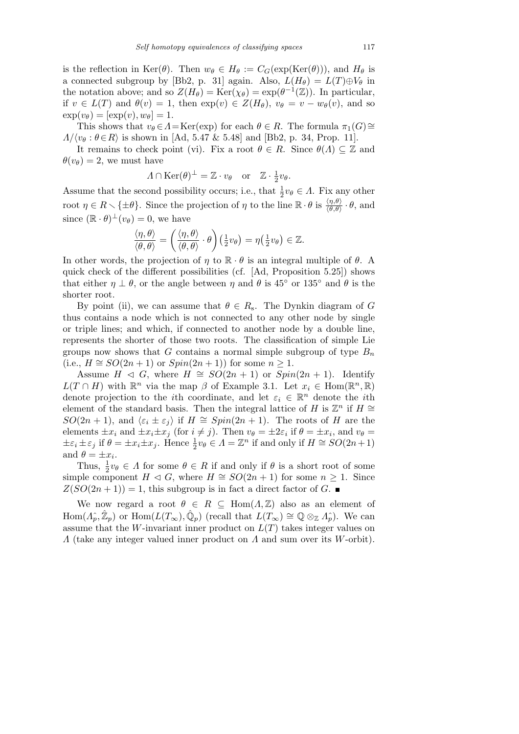is the reflection in Ker( $\theta$ ). Then  $w_{\theta} \in H_{\theta} := C_G(\exp(\text{Ker}(\theta)))$ , and  $H_{\theta}$  is a connected subgroup by [Bb2, p. 31] again. Also,  $L(H_\theta) = L(T) \oplus V_\theta$  in the notation above; and so  $Z(H_{\theta}) = \text{Ker}(\chi_{\theta}) = \exp(\theta^{-1}(\mathbb{Z}))$ . In particular, if  $v \in L(T)$  and  $\theta(v) = 1$ , then  $\exp(v) \in Z(H_\theta)$ ,  $v_\theta = v - w_\theta(v)$ , and so  $\exp(v_\theta) = [\exp(v), w_\theta] = 1.$ 

This shows that  $v_{\theta} \in A = \text{Ker}(\exp)$  for each  $\theta \in R$ . The formula  $\pi_1(G) \cong$  $\Lambda/\langle v_\theta : \theta \in R \rangle$  is shown in [Ad, 5.47 & 5.48] and [Bb2, p. 34, Prop. 11].

It remains to check point (vi). Fix a root  $\theta \in R$ . Since  $\theta(\Lambda) \subseteq \mathbb{Z}$  and  $\theta(v_\theta) = 2$ , we must have

$$
\Lambda \cap \text{Ker}(\theta)^{\perp} = \mathbb{Z} \cdot v_{\theta} \quad \text{or} \quad \mathbb{Z} \cdot \frac{1}{2}v_{\theta}.
$$

Assume that the second possibility occurs; i.e., that  $\frac{1}{2}v_{\theta} \in \Lambda$ . Fix any other root  $\eta \in R \setminus {\pm \theta}$ . Since the projection of  $\eta$  to the line  $\mathbb{R} \cdot \theta$  is  $\frac{\langle \eta, \theta \rangle}{\langle \theta, \theta \rangle} \cdot \theta$ , and since  $(\mathbb{R} \cdot \theta)^{\perp}(v_{\theta}) = 0$ , we have

$$
\frac{\langle \eta, \theta \rangle}{\langle \theta, \theta \rangle} = \left( \frac{\langle \eta, \theta \rangle}{\langle \theta, \theta \rangle} \cdot \theta \right) \left( \frac{1}{2} v_{\theta} \right) = \eta \left( \frac{1}{2} v_{\theta} \right) \in \mathbb{Z}.
$$

In other words, the projection of  $\eta$  to  $\mathbb{R} \cdot \theta$  is an integral multiple of  $\theta$ . A quick check of the different possibilities (cf. [Ad, Proposition 5.25]) shows that either  $\eta \perp \theta$ , or the angle between  $\eta$  and  $\theta$  is 45° or 135° and  $\theta$  is the shorter root.

By point (ii), we can assume that  $\theta \in R_s$ . The Dynkin diagram of G thus contains a node which is not connected to any other node by single or triple lines; and which, if connected to another node by a double line, represents the shorter of those two roots. The classification of simple Lie groups now shows that G contains a normal simple subgroup of type  $B_n$ (i.e.,  $H \cong SO(2n+1)$  or  $Spin(2n+1)$ ) for some  $n \geq 1$ .

Assume  $H \triangleleft G$ , where  $H \cong SO(2n + 1)$  or  $Spin(2n + 1)$ . Identify  $L(T \cap H)$  with  $\mathbb{R}^n$  via the map  $\beta$  of Example 3.1. Let  $x_i \in \text{Hom}(\mathbb{R}^n, \mathbb{R})$ denote projection to the *i*th coordinate, and let  $\varepsilon_i \in \mathbb{R}^n$  denote the *i*th element of the standard basis. Then the integral lattice of H is  $\mathbb{Z}^n$  if  $H \cong$  $SO(2n + 1)$ , and  $\langle \varepsilon_i \pm \varepsilon_j \rangle$  if  $H \cong Spin(2n + 1)$ . The roots of H are the elements  $\pm x_i$  and  $\pm x_i \pm x_j$  (for  $i \neq j$ ). Then  $v_{\theta} = \pm 2\varepsilon_i$  if  $\theta = \pm x_i$ , and  $v_{\theta} =$  $\pm \varepsilon_i \pm \varepsilon_j$  if  $\theta = \pm x_i \pm x_j$ . Hence  $\frac{1}{2}v_\theta \in \Lambda = \mathbb{Z}^n$  if and only if  $H \cong SO(2n+1)$ and  $\theta = \pm x_i$ .

Thus,  $\frac{1}{2}v_{\theta} \in \Lambda$  for some  $\theta \in R$  if and only if  $\theta$  is a short root of some simple component  $H \triangleleft G$ , where  $H \cong SO(2n+1)$  for some  $n \geq 1$ . Since  $Z(SO(2n+1)) = 1$ , this subgroup is in fact a direct factor of G.

We now regard a root  $\theta \in R \subseteq \text{Hom}(A,\mathbb{Z})$  also as an element of  $\text{Hom}(A_{p}^{\hat{}}}, \hat{\mathbb{Z}}_{p})$  or  $\text{Hom}(L(T_{\infty}), \hat{\mathbb{Q}}_{p})$  (recall that  $L(T_{\infty}) \cong \mathbb{Q} \otimes_{\mathbb{Z}} A_{p}^{\hat{}}$ ). We can assume that the W-invariant inner product on  $L(T)$  takes integer values on  $\Lambda$  (take any integer valued inner product on  $\Lambda$  and sum over its W-orbit).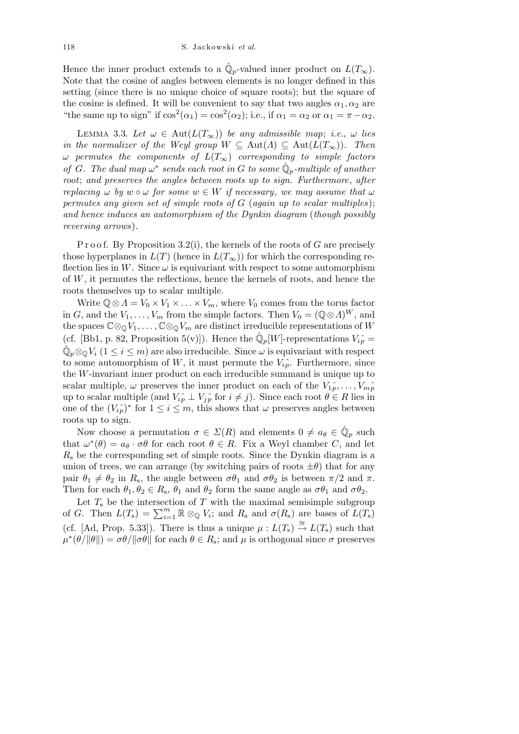Hence the inner product extends to a  $\hat{\mathbb{Q}}_p$ -valued inner product on  $L(T_\infty)$ . Note that the cosine of angles between elements is no longer defined in this setting (since there is no unique choice of square roots); but the square of the cosine is defined. It will be convenient to say that two angles  $\alpha_1, \alpha_2$  are "the same up to sign" if  $\cos^2(\alpha_1) = \cos^2(\alpha_2)$ ; i.e., if  $\alpha_1 = \alpha_2$  or  $\alpha_1 = \pi - \alpha_2$ .

LEMMA 3.3. Let  $\omega \in \text{Aut}(L(T_{\infty}))$  be any admissible map; i.e.,  $\omega$  lies in the normalizer of the Weyl group  $W \subseteq \text{Aut}(\Lambda) \subseteq \text{Aut}(L(T_{\infty}))$ . Then  $\omega$  permutes the components of  $L(T_{\infty})$  corresponding to simple factors of G. The dual map  $\omega^*$  sends each root in G to some  $\hat{\mathbb{Q}}_p$ -multiple of another root; and preserves the angles between roots up to sign. Furthermore, after replacing  $\omega$  by  $w \circ \omega$  for some  $w \in W$  if necessary, we may assume that  $\omega$ permutes any given set of simple roots of G (again up to scalar multiples); and hence induces an automorphism of the Dynkin diagram (though possibly reversing arrows).

P r o o f. By Proposition 3.2(i), the kernels of the roots of G are precisely those hyperplanes in  $L(T)$  (hence in  $L(T_{\infty}))$  for which the corresponding reflection lies in W. Since  $\omega$  is equivariant with respect to some automorphism of W, it permutes the reflections, hence the kernels of roots, and hence the roots themselves up to scalar multiple.

Write  $\mathbb{Q} \otimes \Lambda = V_0 \times V_1 \times \ldots \times V_m$ , where  $V_0$  comes from the torus factor in G, and the  $V_1, \ldots, V_m$  from the simple factors. Then  $V_0 = (\mathbb{Q} \otimes \Lambda)^W$ , and the spaces  $\mathbb{C} \otimes_{\mathbb{Q}} V_1, \ldots, \mathbb{C} \otimes_{\mathbb{Q}} V_m$  are distinct irreducible representations of W (cf. [Bb1, p. 82, Proposition 5(v)]). Hence the  $\hat{\mathbb{Q}}_p[W]$ -representations  $V_{ip}^{\hat{}} =$  $\hat{\mathbb{Q}}_p \otimes_{\mathbb{Q}} V_i$   $(1 \leq i \leq m)$  are also irreducible. Since  $\omega$  is equivariant with respect to some automorphism of W, it must permute the  $V_i^{\hat{}}$ . Furthermore, since the W-invariant inner product on each irreducible summand is unique up to scalar multiple,  $\omega$  preserves the inner product on each of the  $V_1 \hat{p}, \ldots, V_m \hat{p}$ up to scalar multiple (and  $V_{ip} \perp V_{ip}$  for  $i \neq j$ ). Since each root  $\theta \in R$  lies in one of the  $(V_i \hat{p})^*$  for  $1 \leq i \leq m$ , this shows that  $\omega$  preserves angles between roots up to sign.

Now choose a permutation  $\sigma \in \Sigma(R)$  and elements  $0 \neq a_{\theta} \in \hat{\mathbb{Q}}_p$  such that  $\omega^*(\theta) = a_{\theta} \cdot \sigma \theta$  for each root  $\theta \in R$ . Fix a Weyl chamber C, and let  $R<sub>s</sub>$  be the corresponding set of simple roots. Since the Dynkin diagram is a union of trees, we can arrange (by switching pairs of roots  $\pm \theta$ ) that for any pair  $\theta_1 \neq \theta_2$  in  $R_s$ , the angle between  $\sigma \theta_1$  and  $\sigma \theta_2$  is between  $\pi/2$  and  $\pi$ . Then for each  $\theta_1, \theta_2 \in R_s$ ,  $\theta_1$  and  $\theta_2$  form the same angle as  $\sigma \theta_1$  and  $\sigma \theta_2$ .

Let  $T<sub>s</sub>$  be the intersection of T with the maximal semisimple subgroup of G. Then  $L(T_s) = \sum_{i=1}^{m} \mathbb{R} \otimes_{\mathbb{Q}} V_i$ ; and  $R_s$  and  $\sigma(R_s)$  are bases of  $L(T_s)$ (cf. [Ad, Prop. 5.33]). There is thus a unique  $\mu : L(T_s) \stackrel{\cong}{\to} L(T_s)$  such that  $\mu^*(\theta/\|\theta\|) = \sigma\theta/\|\sigma\theta\|$  for each  $\theta \in R_s$ ; and  $\mu$  is orthogonal since  $\sigma$  preserves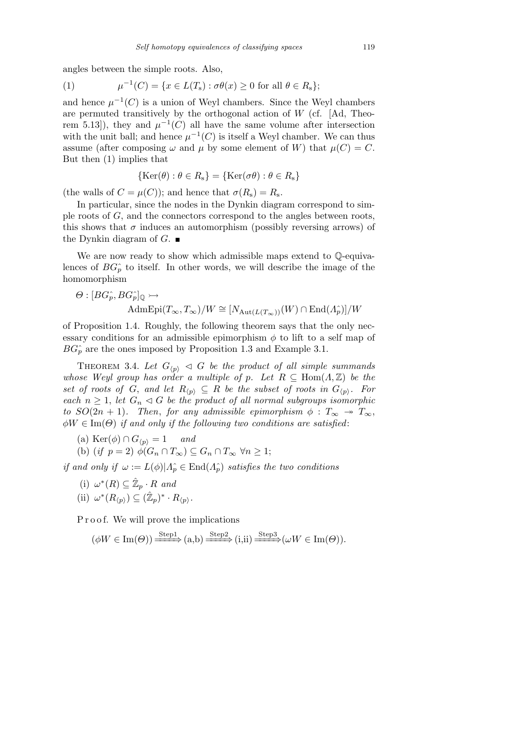angles between the simple roots. Also,

(1) 
$$
\mu^{-1}(C) = \{x \in L(T_s) : \sigma \theta(x) \ge 0 \text{ for all } \theta \in R_s\};
$$

and hence  $\mu^{-1}(C)$  is a union of Weyl chambers. Since the Weyl chambers are permuted transitively by the orthogonal action of  $W$  (cf. [Ad, Theorem 5.13, they and  $\mu^{-1}(C)$  all have the same volume after intersection with the unit ball; and hence  $\mu^{-1}(C)$  is itself a Weyl chamber. We can thus assume (after composing  $\omega$  and  $\mu$  by some element of W) that  $\mu(C) = C$ . But then (1) implies that

$$
\{\text{Ker}(\theta) : \theta \in R_{s}\} = \{\text{Ker}(\sigma \theta) : \theta \in R_{s}\}\
$$

(the walls of  $C = \mu(C)$ ); and hence that  $\sigma(R_s) = R_s$ .

In particular, since the nodes in the Dynkin diagram correspond to simple roots of G, and the connectors correspond to the angles between roots, this shows that  $\sigma$  induces an automorphism (possibly reversing arrows) of the Dynkin diagram of  $G$ .

We are now ready to show which admissible maps extend to  $\mathbb{Q}$ -equivalences of  $BG<sub>p</sub>^{\hat{}}$  to itself. In other words, we will describe the image of the homomorphism

$$
\Theta : [BG_p^{\widehat{}} , BG_p^{\widehat{}}]_{\mathbb{Q}} \rightarrowtail
$$
  
AdmEpi $(T_{\infty}, T_{\infty})/W \cong [N_{\text{Aut}(L(T_{\infty}))}(W) \cap \text{End}(A_p^{\widehat{}})]/W$ 

of Proposition 1.4. Roughly, the following theorem says that the only necessary conditions for an admissible epimorphism  $\phi$  to lift to a self map of  $BG_n^*$  are the ones imposed by Proposition 1.3 and Example 3.1.

THEOREM 3.4. Let  $G_{\langle p \rangle} \triangleleft G$  be the product of all simple summands whose Weyl group has order a multiple of p. Let  $R \subseteq \text{Hom}(A, \mathbb{Z})$  be the set of roots of G, and let  $R_{\langle p \rangle} \subseteq R$  be the subset of roots in  $G_{\langle p \rangle}$ . For each  $n \geq 1$ , let  $G_n \lhd G$  be the product of all normal subgroups isomorphic to  $SO(2n + 1)$ . Then, for any admissible epimorphism  $\phi : T_{\infty} \rightarrow T_{\infty}$ ,  $\phi W \in \text{Im}(\Theta)$  if and only if the following two conditions are satisfied:

(a) 
$$
\text{Ker}(\phi) \cap G_{\langle p \rangle} = 1
$$
 and

(b) 
$$
(if \t p = 2) \phi(G_n \cap T_\infty) \subseteq G_n \cap T_\infty \ \forall n \geq 1;
$$

if and only if  $\omega := L(\phi)|A_p \in \text{End}(A_p)$  satisfies the two conditions

- (i)  $\omega^*(R) \subseteq \hat{\mathbb{Z}}_p \cdot R$  and
- (ii)  $\omega^*(R_{\langle p \rangle}) \subseteq (\hat{\mathbb{Z}}_p)^* \cdot R_{\langle p \rangle}$ .

P r o o f. We will prove the implications

$$
(\phi W \in \text{Im}(\Theta)) \xrightarrow{\text{Step1}} (a,b) \xrightarrow{\text{Step2}} (i,ii) \xrightarrow{\text{Step3}} (\omega W \in \text{Im}(\Theta)).
$$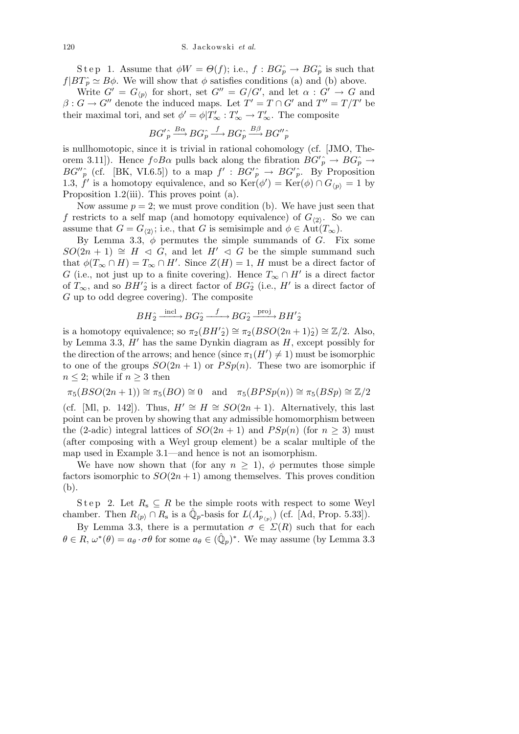S t e p 1. Assume that  $\phi W = \Theta(f)$ ; i.e.,  $f : BG_p^* \to BG_p^*$  is such that  $f|BT\hat{p} \simeq B\phi$ . We will show that  $\phi$  satisfies conditions (a) and (b) above.

Write  $G' = G_{\langle p \rangle}$  for short, set  $G'' = G/G'$ , and let  $\alpha : G' \to G$  and  $\beta: G \to G''$  denote the induced maps. Let  $T' = T \cap G'$  and  $T'' = T/T'$  be their maximal tori, and set  $\phi' = \phi | T'_{\infty} : T'_{\infty} \to T'_{\infty}$ . The composite

$$
BG'_{p} \stackrel{\wedge}{\longrightarrow} BG_{p}^{\wedge} \stackrel{f}{\longrightarrow} BG_{p}^{\wedge} \stackrel{B\beta}{\longrightarrow} BG''_{p}^{\wedge}
$$

is nullhomotopic, since it is trivial in rational cohomology (cf. [JMO, Theorem 3.11]). Hence  $f \circ B\alpha$  pulls back along the fibration  $BG'_{p} \to BG_{p}^{\wedge} \to$  $BG''_p$  (cf. [BK, VI.6.5]) to a map  $f' : BG'_{p} \to BG'_{p}$ . By Proposition 1.3, f' is a homotopy equivalence, and so  $\text{Ker}(\phi') = \text{Ker}(\phi) \cap G_{\langle p \rangle} = 1$  by Proposition 1.2(iii). This proves point (a).

Now assume  $p = 2$ ; we must prove condition (b). We have just seen that f restricts to a self map (and homotopy equivalence) of  $G_{(2)}$ . So we can assume that  $G = G_{\langle 2 \rangle}$ ; i.e., that G is semisimple and  $\phi \in \text{Aut}(T_{\infty})$ .

By Lemma 3.3,  $\phi$  permutes the simple summands of G. Fix some  $SO(2n + 1) \cong H \triangleleft G$ , and let  $H' \triangleleft G$  be the simple summand such that  $\phi(T_{\infty} \cap H) = T_{\infty} \cap H'$ . Since  $Z(H) = 1$ , H must be a direct factor of G (i.e., not just up to a finite covering). Hence  $T_{\infty} \cap H'$  is a direct factor of  $T_{\infty}$ , and so  $BH'_{2}$  is a direct factor of  $BG_{2}$  (i.e., H' is a direct factor of G up to odd degree covering). The composite

$$
BH_2^{\wedge} \xrightarrow{\text{incl}} BG_2^{\wedge} \xrightarrow{f} BG_2^{\wedge} \xrightarrow{\text{proj}} BH'_{2}
$$

is a homotopy equivalence; so  $\pi_2(BH'\hat{i}) \cong \pi_2(BSO(2n+1)\hat{i}) \cong \mathbb{Z}/2$ . Also, by Lemma 3.3,  $H'$  has the same Dynkin diagram as  $H$ , except possibly for the direction of the arrows; and hence (since  $\pi_1(H') \neq 1$ ) must be isomorphic to one of the groups  $SO(2n + 1)$  or  $PSp(n)$ . These two are isomorphic if  $n \leq 2$ ; while if  $n \geq 3$  then

 $\pi_5(BSO(2n+1)) \cong \pi_5(BO) \cong 0$  and  $\pi_5(BPSp(n)) \cong \pi_5(BSp) \cong \mathbb{Z}/2$ 

(cf. [Ml, p. 142]). Thus,  $H' \cong H \cong SO(2n + 1)$ . Alternatively, this last point can be proven by showing that any admissible homomorphism between the (2-adic) integral lattices of  $SO(2n + 1)$  and  $PSp(n)$  (for  $n \geq 3$ ) must (after composing with a Weyl group element) be a scalar multiple of the map used in Example 3.1—and hence is not an isomorphism.

We have now shown that (for any  $n \geq 1$ ),  $\phi$  permutes those simple factors isomorphic to  $SO(2n+1)$  among themselves. This proves condition (b).

Step 2. Let  $R_s \subseteq R$  be the simple roots with respect to some Weyl chamber. Then  $R_{\langle p \rangle} \cap R_{s}$  is a  $\hat{\mathbb{Q}}_{p}$ -basis for  $L(A_{p_{\langle p \rangle}})$  (cf. [Ad, Prop. 5.33]).

By Lemma 3.3, there is a permutation  $\sigma \in \Sigma(R)$  such that for each  $\theta \in R$ ,  $\omega^*(\theta) = a_\theta \cdot \sigma \theta$  for some  $a_\theta \in (\hat{\mathbb{Q}}_p)^*$ . We may assume (by Lemma 3.3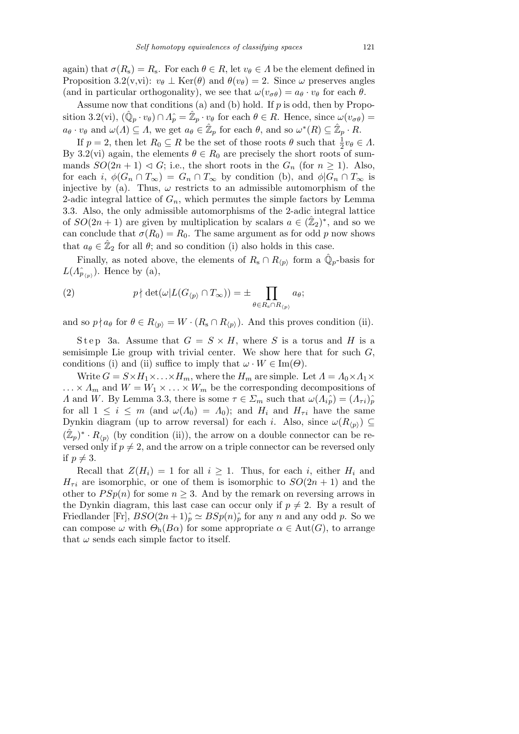again) that  $\sigma(R_s) = R_s$ . For each  $\theta \in R$ , let  $v_{\theta} \in \Lambda$  be the element defined in Proposition 3.2(v,vi):  $v_{\theta} \perp \text{Ker}(\theta)$  and  $\theta(v_{\theta}) = 2$ . Since  $\omega$  preserves angles (and in particular orthogonality), we see that  $\omega(v_{\sigma\theta}) = a_{\theta} \cdot v_{\theta}$  for each  $\theta$ .

Assume now that conditions (a) and (b) hold. If  $p$  is odd, then by Proposition 3.2(vi),  $(\hat{\mathbb{Q}}_p \cdot v_\theta) \cap \hat{A}_p = \hat{\mathbb{Z}}_p \cdot v_\theta$  for each  $\theta \in R$ . Hence, since  $\omega(v_{\sigma\theta}) =$  $a_{\theta} \cdot v_{\theta}$  and  $\omega(\Lambda) \subseteq \Lambda$ , we get  $a_{\theta} \in \mathbb{Z}_p$  for each  $\theta$ , and so  $\omega^*(R) \subseteq \mathbb{Z}_p \cdot R$ .

If  $p = 2$ , then let  $R_0 \subseteq R$  be the set of those roots  $\theta$  such that  $\frac{1}{2}v_{\theta} \in \Lambda$ . By 3.2(vi) again, the elements  $\theta \in R_0$  are precisely the short roots of summands  $SO(2n + 1) \triangleleft G$ ; i.e., the short roots in the  $G_n$  (for  $n \ge 1$ ). Also, for each i,  $\phi(G_n \cap T_\infty) = G_n \cap T_\infty$  by condition (b), and  $\phi|G_n \cap T_\infty$  is injective by (a). Thus,  $\omega$  restricts to an admissible automorphism of the 2-adic integral lattice of  $G_n$ , which permutes the simple factors by Lemma 3.3. Also, the only admissible automorphisms of the 2-adic integral lattice of  $SO(2n+1)$  are given by multiplication by scalars  $a \in (\hat{\mathbb{Z}}_2)^*$ , and so we can conclude that  $\sigma(R_0) = R_0$ . The same argument as for odd p now shows that  $a_{\theta} \in \hat{\mathbb{Z}}_2$  for all  $\theta$ ; and so condition (i) also holds in this case.

Finally, as noted above, the elements of  $R_s \cap R_{\langle p \rangle}$  form a  $\hat{\mathbb{Q}}_p$ -basis for  $L(\Lambda_{p_{(p)}})$ . Hence by (a),

(2) 
$$
p \nmid \det(\omega | L(G_{\langle p \rangle} \cap T_{\infty})) = \pm \prod_{\theta \in R_{\mathfrak{s}} \cap R_{\langle p \rangle}} a_{\theta};
$$

and so  $p \nmid a_\theta$  for  $\theta \in R_{\langle p \rangle} = W \cdot (R_{\rm s} \cap R_{\langle p \rangle})$ . And this proves condition (ii).

Step 3a. Assume that  $G = S \times H$ , where S is a torus and H is a semisimple Lie group with trivial center. We show here that for such  $G$ , conditions (i) and (ii) suffice to imply that  $\omega \cdot W \in \text{Im}(\Theta)$ .

Write  $G = S \times H_1 \times ... \times H_m$ , where the  $H_m$  are simple. Let  $\Lambda = \Lambda_0 \times \Lambda_1 \times$  $\ldots \times \Lambda_m$  and  $W = W_1 \times \ldots \times W_m$  be the corresponding decompositions of A and W. By Lemma 3.3, there is some  $\tau \in \Sigma_m$  such that  $\omega(\Lambda_{i\hat{p}}) = (\Lambda_{\tau i})\hat{p}$ for all  $1 \leq i \leq m$  (and  $\omega(\Lambda_0) = \Lambda_0$ ); and  $H_i$  and  $H_{\tau i}$  have the same Dynkin diagram (up to arrow reversal) for each *i*. Also, since  $\omega(R_{\langle p \rangle}) \subseteq$  $(\hat{\mathbb{Z}}_p)^* \cdot R_{\langle p \rangle}$  (by condition (ii)), the arrow on a double connector can be reversed only if  $p \neq 2$ , and the arrow on a triple connector can be reversed only if  $p \neq 3$ .

Recall that  $Z(H_i) = 1$  for all  $i \geq 1$ . Thus, for each i, either  $H_i$  and  $H_{\tau i}$  are isomorphic, or one of them is isomorphic to  $SO(2n+1)$  and the other to  $PSp(n)$  for some  $n \geq 3$ . And by the remark on reversing arrows in the Dynkin diagram, this last case can occur only if  $p \neq 2$ . By a result of Friedlander [Fr],  $BSO(2n+1)$ <sup>2</sup> $\cong BSp(n)$ <sup>2</sup><sub>p</sub> for any n and any odd p. So we can compose  $\omega$  with  $\Theta_h(B\alpha)$  for some appropriate  $\alpha \in Aut(G)$ , to arrange that  $\omega$  sends each simple factor to itself.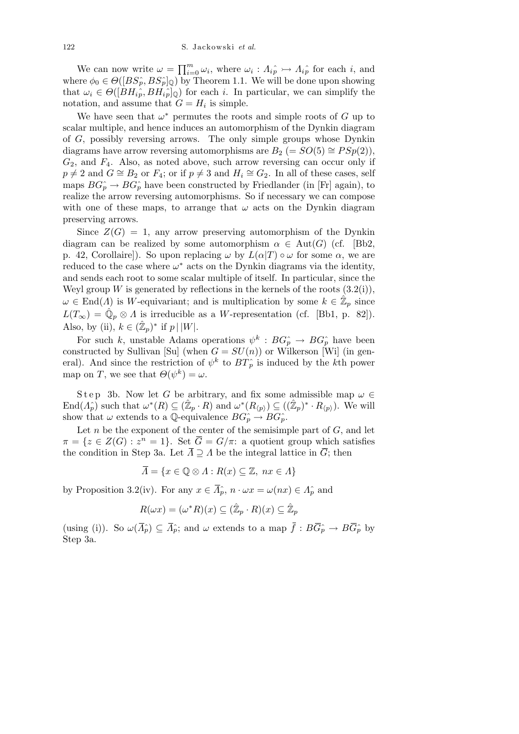We can now write  $\omega = \prod_{i=0}^m \omega_i$ , where  $\omega_i : A_{i\hat{p}} \rightarrow A_{i\hat{p}}$  for each i, and where  $\phi_0 \in \Theta([BS_p, BS_p]_{\mathbb{Q}})$  by Theorem 1.1. We will be done upon showing that  $\omega_i \in \Theta([BH_{i\hat{p}}, BH_{i\hat{p}}]_{\mathbb{Q}})$  for each i. In particular, we can simplify the notation, and assume that  $G = H_i$  is simple.

We have seen that  $\omega^*$  permutes the roots and simple roots of G up to scalar multiple, and hence induces an automorphism of the Dynkin diagram of G, possibly reversing arrows. The only simple groups whose Dynkin diagrams have arrow reversing automorphisms are  $B_2 = SO(5) \cong PSp(2)$ ,  $G_2$ , and  $F_4$ . Also, as noted above, such arrow reversing can occur only if  $p \neq 2$  and  $G \cong B_2$  or  $F_4$ ; or if  $p \neq 3$  and  $H_i \cong G_2$ . In all of these cases, self maps  $BG_p^* \to BG_p^*$  have been constructed by Friedlander (in [Fr] again), to realize the arrow reversing automorphisms. So if necessary we can compose with one of these maps, to arrange that  $\omega$  acts on the Dynkin diagram preserving arrows.

Since  $Z(G) = 1$ , any arrow preserving automorphism of the Dynkin diagram can be realized by some automorphism  $\alpha \in Aut(G)$  (cf. [Bb2, p. 42, Corollaire]). So upon replacing  $\omega$  by  $L(\alpha|T) \circ \omega$  for some  $\alpha$ , we are reduced to the case where  $\omega^*$  acts on the Dynkin diagrams via the identity, and sends each root to some scalar multiple of itself. In particular, since the Weyl group W is generated by reflections in the kernels of the roots  $(3.2(i)),$  $\omega \in \text{End}(\Lambda)$  is W-equivariant; and is multiplication by some  $k \in \mathbb{Z}_p$  since  $L(T_{\infty}) = \hat{\mathbb{Q}}_p \otimes \Lambda$  is irreducible as a W-representation (cf. [Bb1, p. 82]). Also, by (ii),  $k \in (\hat{\mathbb{Z}}_p)^*$  if  $p \mid |W|$ .

For such k, unstable Adams operations  $\psi^k : BG_p^{\frown} \to BG_p^{\frown}$  have been constructed by Sullivan [Su] (when  $G = SU(n)$ ) or Wilkerson [Wi] (in general). And since the restriction of  $\psi^k$  to  $BT_p^{\hat{}}$  is induced by the k<sup>th</sup> power map on T, we see that  $\Theta(\psi^k) = \omega$ .

Step 3b. Now let G be arbitrary, and fix some admissible map  $\omega \in$  $\text{End}(\Lambda_p)$  such that  $\omega^*(R) \subseteq (\hat{\mathbb{Z}}_p \cdot R)$  and  $\omega^*(R_{\langle p \rangle}) \subseteq ((\hat{\mathbb{Z}}_p)^* \cdot R_{\langle p \rangle})$ . We will show that  $\omega$  extends to a Q-equivalence  $BG_p^* \to BG_p^*$ .

Let n be the exponent of the center of the semisimple part of  $G$ , and let  $\pi = \{z \in Z(G) : z^n = 1\}.$  Set  $\overline{G} = G/\pi$ : a quotient group which satisfies the condition in Step 3a. Let  $\overline{\Lambda} \supseteq \Lambda$  be the integral lattice in  $\overline{G}$ ; then

$$
\overline{A} = \{ x \in \mathbb{Q} \otimes A : R(x) \subseteq \mathbb{Z}, \ nx \in A \}
$$

by Proposition 3.2(iv). For any  $x \in \overline{\Lambda}_{p}^{\circ}$ ,  $n \cdot \omega x = \omega(nx) \in \Lambda_{p}^{\circ}$  and

$$
R(\omega x) = (\omega^* R)(x) \subseteq (\hat{\mathbb{Z}}_p \cdot R)(x) \subseteq \hat{\mathbb{Z}}_p
$$

(using (i)). So  $\omega(\overline{\Lambda}_{p}) \subseteq \overline{\Lambda}_{p}^{2}$ ; and  $\omega$  extends to a map  $\overline{f}: B\overline{G}_{p}^{2} \to B\overline{G}_{p}^{2}$  by Step 3a.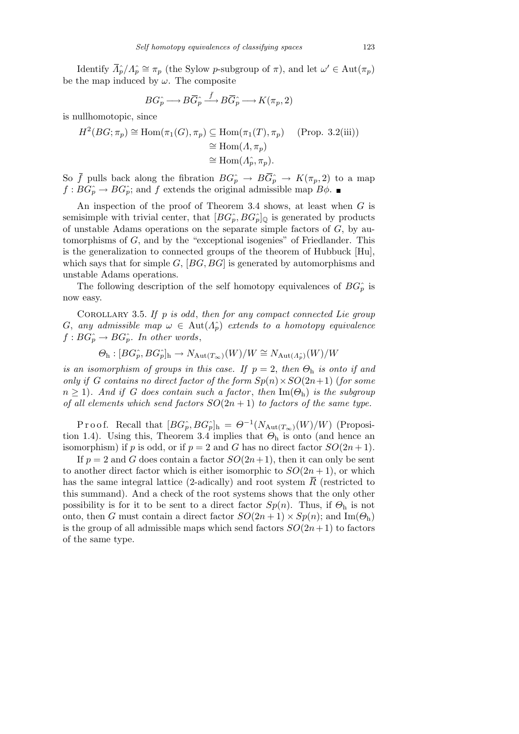Identify  $\overline{A}_p^{\wedge}/A_p^{\wedge} \cong \pi_p$  (the Sylow p-subgroup of  $\pi$ ), and let  $\omega' \in \text{Aut}(\pi_p)$ be the map induced by  $\omega$ . The composite

$$
BG_p^{\hat{}} \longrightarrow B\overline{G}_p^{\hat{}} \stackrel{\overline{f}}{\longrightarrow} B\overline{G}_p^{\hat{}} \longrightarrow K(\pi_p, 2)
$$

is nullhomotopic, since

$$
H^2(BG; \pi_p) \cong \text{Hom}(\pi_1(G), \pi_p) \subseteq \text{Hom}(\pi_1(T), \pi_p) \quad \text{(Prop. 3.2(iii))}
$$

$$
\cong \text{Hom}(A, \pi_p)
$$

$$
\cong \text{Hom}(A_p^{\frown}, \pi_p).
$$

So  $\bar{f}$  pulls back along the fibration  $BG_p \to B\bar{G}_p \to K(\pi_p, 2)$  to a map  $f : BG<sub>p</sub> \to BG<sub>p</sub>$ ; and f extends the original admissible map  $B\phi$ .

An inspection of the proof of Theorem 3.4 shows, at least when  $G$  is semisimple with trivial center, that  $[BG_{p}^{\wedge}, BG_{p}^{\wedge}]_{\mathbb{Q}}$  is generated by products of unstable Adams operations on the separate simple factors of  $G$ , by automorphisms of G, and by the "exceptional isogenies" of Friedlander. This is the generalization to connected groups of the theorem of Hubbuck [Hu], which says that for simple  $G$ ,  $[BG, BG]$  is generated by automorphisms and unstable Adams operations.

The following description of the self homotopy equivalences of  $BG^{\hat{}}_p$  is now easy.

COROLLARY 3.5. If  $p$  is odd, then for any compact connected Lie group G, any admissible map  $\omega \in \text{Aut}(\Lambda_p)$  extends to a homotopy equivalence  $f: BG<sub>p</sub> \to BG<sub>p</sub>$ . In other words,

$$
\Theta_{\rm h}: [BG_p^{\widehat{\ }} , BG_p^{\widehat{\ }}]_{\rm h} \to N_{\text{Aut}(T_\infty)}(W)/W \cong N_{\text{Aut}(A_p^{\widehat{\ }})}(W)/W
$$

is an isomorphism of groups in this case. If  $p = 2$ , then  $\Theta_h$  is onto if and only if G contains no direct factor of the form  $Sp(n) \times SO(2n+1)$  (for some  $n \geq 1$ ). And if G does contain such a factor, then  $\text{Im}(\Theta_{h})$  is the subgroup of all elements which send factors  $SO(2n+1)$  to factors of the same type.

Proof. Recall that  $[BG_p^{\hat{}} , BG_p^{\hat{}}]_h = \Theta^{-1}(N_{Aut(T_{\infty})}(W)/W)$  (Proposition 1.4). Using this, Theorem 3.4 implies that  $\Theta_h$  is onto (and hence an isomorphism) if p is odd, or if  $p = 2$  and G has no direct factor  $SO(2n+1)$ .

If  $p = 2$  and G does contain a factor  $SO(2n+1)$ , then it can only be sent to another direct factor which is either isomorphic to  $SO(2n+1)$ , or which has the same integral lattice (2-adically) and root system  $\overline{R}$  (restricted to this summand). And a check of the root systems shows that the only other possibility is for it to be sent to a direct factor  $Sp(n)$ . Thus, if  $\Theta_h$  is not onto, then G must contain a direct factor  $SO(2n+1) \times Sp(n)$ ; and  $Im(\Theta_h)$ is the group of all admissible maps which send factors  $SO(2n+1)$  to factors of the same type.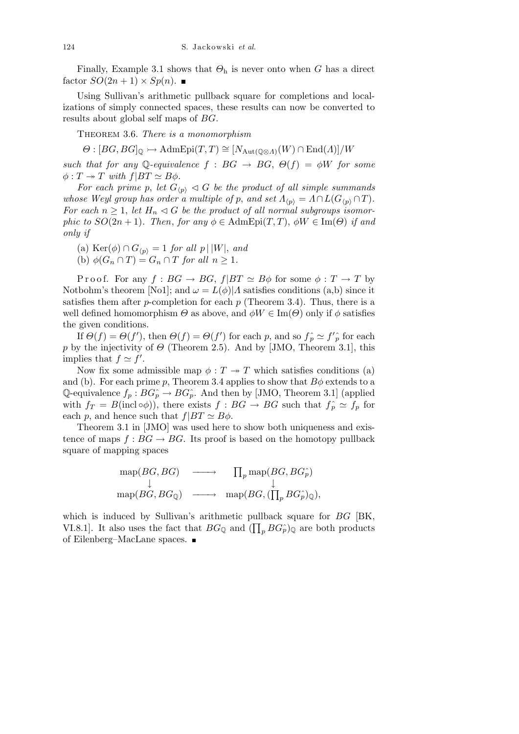Finally, Example 3.1 shows that  $\Theta_h$  is never onto when G has a direct factor  $SO(2n+1) \times Sp(n)$ .

Using Sullivan's arithmetic pullback square for completions and localizations of simply connected spaces, these results can now be converted to results about global self maps of BG.

THEOREM 3.6. There is a monomorphism

 $\Theta : [BG, BG]_{\mathbb{Q}} \rightarrowtail \text{AdmEpi}(T, T) \cong [N_{\text{Aut}(\mathbb{Q}\otimes A)}(W) \cap \text{End}(A)]/W$ 

such that for any Q-equivalence  $f : BG \to BG$ ,  $\Theta(f) = \phi W$  for some  $\phi: T \twoheadrightarrow T$  with  $f|BT \simeq B\phi$ .

For each prime p, let  $G_{\langle p \rangle} \triangleleft G$  be the product of all simple summands whose Weyl group has order a multiple of p, and set  $\Lambda_{\langle p \rangle} = \Lambda \cap L(G_{\langle p \rangle} \cap T)$ . For each  $n \geq 1$ , let  $H_n \lhd G$  be the product of all normal subgroups isomorphic to  $SO(2n+1)$ . Then, for any  $\phi \in \text{AdmEpi}(T,T)$ ,  $\phi W \in \text{Im}(\Theta)$  if and only if

- (a) Ker $(\phi) \cap G_{\langle p \rangle} = 1$  for all  $p \mid |W|$ , and
- (b)  $\phi(G_n \cap T) = G_n \cap T$  for all  $n \geq 1$ .

P r o o f. For any  $f : BG \to BG$ ,  $f|BT \simeq B\phi$  for some  $\phi : T \to T$  by Notbohm's theorem [No1]; and  $\omega = L(\phi)/A$  satisfies conditions (a,b) since it satisfies them after p-completion for each  $p$  (Theorem 3.4). Thus, there is a well defined homomorphism  $\Theta$  as above, and  $\phi W \in \text{Im}(\Theta)$  only if  $\phi$  satisfies the given conditions.

If  $\Theta(f) = \Theta(f')$ , then  $\Theta(f) = \Theta(f')$  for each p, and so  $f_p \simeq f'_p$  for each p by the injectivity of  $\Theta$  (Theorem 2.5). And by [JMO, Theorem 3.1], this implies that  $f \simeq f'$ .

Now fix some admissible map  $\phi: T \to T$  which satisfies conditions (a) and (b). For each prime p, Theorem 3.4 applies to show that  $B\phi$  extends to a Q-equivalence  $f_p : BG^{\frown}_p \to BG^{\frown}_p$ . And then by [JMO, Theorem 3.1] (applied with  $f_T = B(\text{incl}\circ\phi)$ , there exists  $f : BG \to BG$  such that  $f_p \simeq f_p$  for each p, and hence such that  $f|BT \simeq B\phi$ .

Theorem 3.1 in [JMO] was used here to show both uniqueness and existence of maps  $f : BG \to BG$ . Its proof is based on the homotopy pullback square of mapping spaces

$$
\begin{array}{ccc}\n\operatorname{map}(BG, BG) & \longrightarrow & \prod_{p} \operatorname{map}(BG, BG_p^{\hat{}}) \\
\downarrow & & \downarrow \\
\operatorname{map}(BG, BG_{\mathbb{Q}}) & \longrightarrow & \operatorname{map}(BG, (\prod_{p} BG_p^{\hat{}})_{\mathbb{Q}}),\n\end{array}
$$

which is induced by Sullivan's arithmetic pullback square for BG [BK, VI.8.1]. It also uses the fact that  $BG_{\mathbb{Q}}$  and  $(\prod_{p} BG_{p})_{\mathbb{Q}}$  are both products of Eilenberg–MacLane spaces.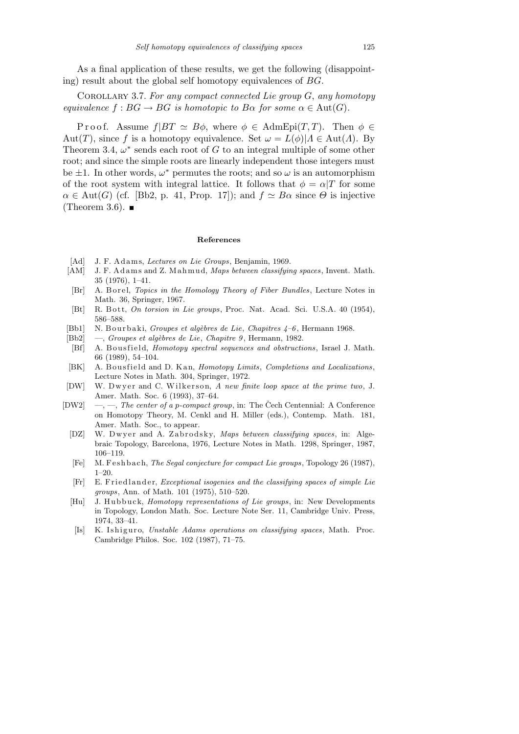As a final application of these results, we get the following (disappointing) result about the global self homotopy equivalences of BG.

COROLLARY 3.7. For any compact connected Lie group  $G$ , any homotopy equivalence  $f : BG \to BG$  is homotopic to  $B\alpha$  for some  $\alpha \in Aut(G)$ .

P r o o f. Assume  $f|BT \simeq B\phi$ , where  $\phi \in \text{AdmEpi}(T, T)$ . Then  $\phi \in$ Aut(T), since f is a homotopy equivalence. Set  $\omega = L(\phi)|A \in Aut(A)$ . By Theorem 3.4,  $\omega^*$  sends each root of G to an integral multiple of some other root; and since the simple roots are linearly independent those integers must be  $\pm 1$ . In other words,  $\omega^*$  permutes the roots; and so  $\omega$  is an automorphism of the root system with integral lattice. It follows that  $\phi = \alpha/T$  for some  $\alpha \in \text{Aut}(G)$  (cf. [Bb2, p. 41, Prop. 17]); and  $f \simeq B\alpha$  since  $\Theta$  is injective (Theorem 3.6).  $\blacksquare$ 

## References

- [Ad] J. F. Adams, Lectures on Lie Groups, Benjamin, 1969.
- [AM] J. F. Adams and Z. Mahmud, Maps between classifying spaces, Invent. Math. 35 (1976), 1–41.
- [Br] A. B orel, Topics in the Homology Theory of Fiber Bundles, Lecture Notes in Math. 36, Springer, 1967.
- [Bt] R. Bott, On torsion in Lie groups, Proc. Nat. Acad. Sci. U.S.A. 40 (1954), 586–588.
- [Bb1] N. Bourbaki, Groupes et algèbres de Lie, Chapitres  $4-6$ , Hermann 1968.
- [Bb2] —, Groupes et algèbres de Lie, Chapitre 9, Hermann, 1982.
- [Bf] A. Bousfield, *Homotopy spectral sequences and obstructions*, Israel J. Math. 66 (1989), 54–104.
- [BK] A. Bousfield and D. Kan, Homotopy Limits, Completions and Localizations, Lecture Notes in Math. 304, Springer, 1972.
- [DW] W. Dwyer and C. Wilkerson, A new finite loop space at the prime two, J. Amer. Math. Soc. 6 (1993), 37–64.
- [DW2] —, —, The center of a p-compact group, in: The Čech Centennial: A Conference on Homotopy Theory, M. Cenkl and H. Miller (eds.), Contemp. Math. 181, Amer. Math. Soc., to appear.
	- [DZ] W. Dwyer and A. Zabrodsky, Maps between classifying spaces, in: Algebraic Topology, Barcelona, 1976, Lecture Notes in Math. 1298, Springer, 1987, 106–119.
	- [Fe] M. F eshbach, *The Segal conjecture for compact Lie groups*, Topology 26 (1987),  $1-20.$
	- [Fr] E. Friedlander, *Exceptional isogenies and the classifying spaces of simple Lie* groups, Ann. of Math. 101 (1975), 510–520.
	- [Hu] J. Hubbuck, *Homotopy representations of Lie groups*, in: New Developments in Topology, London Math. Soc. Lecture Note Ser. 11, Cambridge Univ. Press, 1974, 33–41.
	- [Is] K. Ishiguro, Unstable Adams operations on classifying spaces, Math. Proc. Cambridge Philos. Soc. 102 (1987), 71–75.